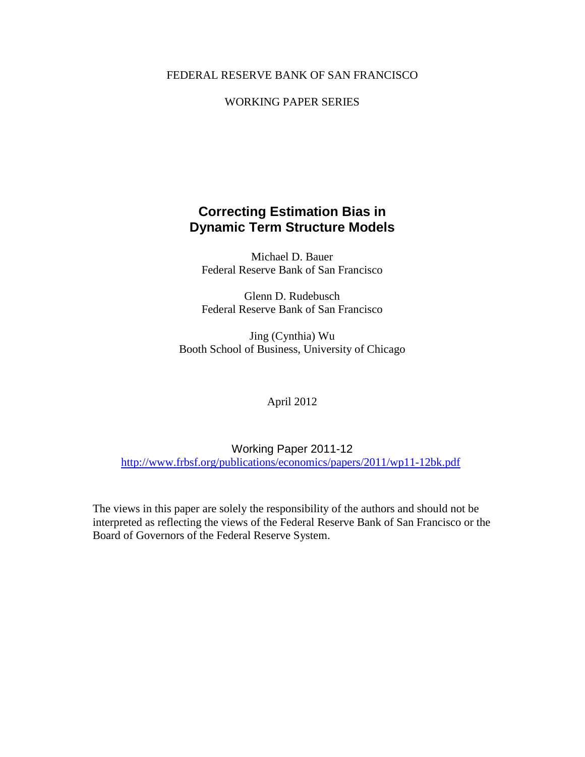#### FEDERAL RESERVE BANK OF SAN FRANCISCO

#### WORKING PAPER SERIES

### **Correcting Estimation Bias in Dynamic Term Structure Models**

Michael D. Bauer Federal Reserve Bank of San Francisco

Glenn D. Rudebusch Federal Reserve Bank of San Francisco

Jing (Cynthia) Wu Booth School of Business, University of Chicago

#### April 2012

Working Paper 2011-12 <http://www.frbsf.org/publications/economics/papers/2011/wp11-12bk.pdf>

The views in this paper are solely the responsibility of the authors and should not be interpreted as reflecting the views of the Federal Reserve Bank of San Francisco or the Board of Governors of the Federal Reserve System.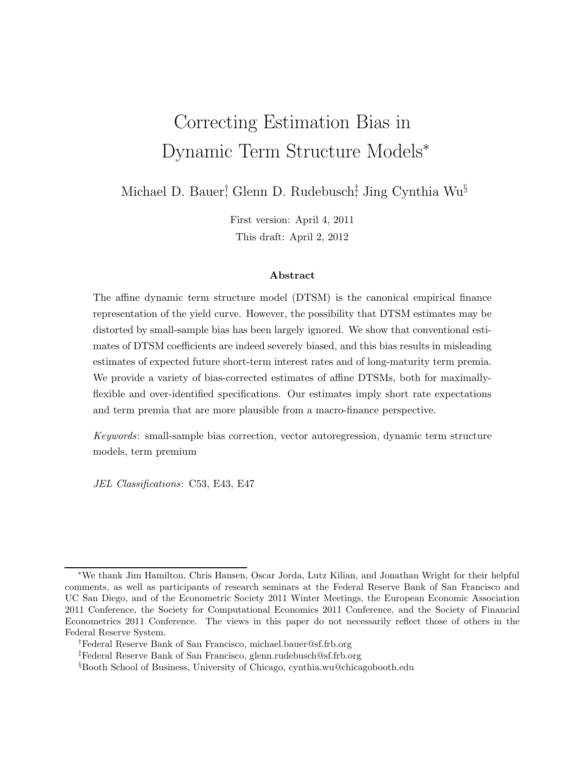# Correcting Estimation Bias in Dynamic Term Structure Models<sup>∗</sup>

Michael D. Bauer<sup>†</sup>, Glenn D. Rudebusch‡ Jing Cynthia Wu<sup>§</sup>

First version: April 4, 2011 This draft: April 2, 2012

#### Abstract

The affine dynamic term structure model (DTSM) is the canonical empirical finance representation of the yield curve. However, the possibility that DTSM estimates may be distorted by small-sample bias has been largely ignored. We show that conventional estimates of DTSM coefficients are indeed severely biased, and this bias results in misleading estimates of expected future short-term interest rates and of long-maturity term premia. We provide a variety of bias-corrected estimates of affine DTSMs, both for maximallyflexible and over-identified specifications. Our estimates imply short rate expectations and term premia that are more plausible from a macro-finance perspective.

Keywords: small-sample bias correction, vector autoregression, dynamic term structure models, term premium

JEL Classifications: C53, E43, E47

<sup>∗</sup>We thank Jim Hamilton, Chris Hansen, Oscar Jorda, Lutz Kilian, and Jonathan Wright for their helpful comments, as well as participants of research seminars at the Federal Reserve Bank of San Francisco and UC San Diego, and of the Econometric Society 2011 Winter Meetings, the European Economic Association 2011 Conference, the Society for Computational Economics 2011 Conference, and the Society of Financial Econometrics 2011 Conference. The views in this paper do not necessarily reflect those of others in the Federal Reserve System.

<sup>†</sup>Federal Reserve Bank of San Francisco, michael.bauer@sf.frb.org

<sup>‡</sup>Federal Reserve Bank of San Francisco, glenn.rudebusch@sf.frb.org

<sup>§</sup>Booth School of Business, University of Chicago, cynthia.wu@chicagobooth.edu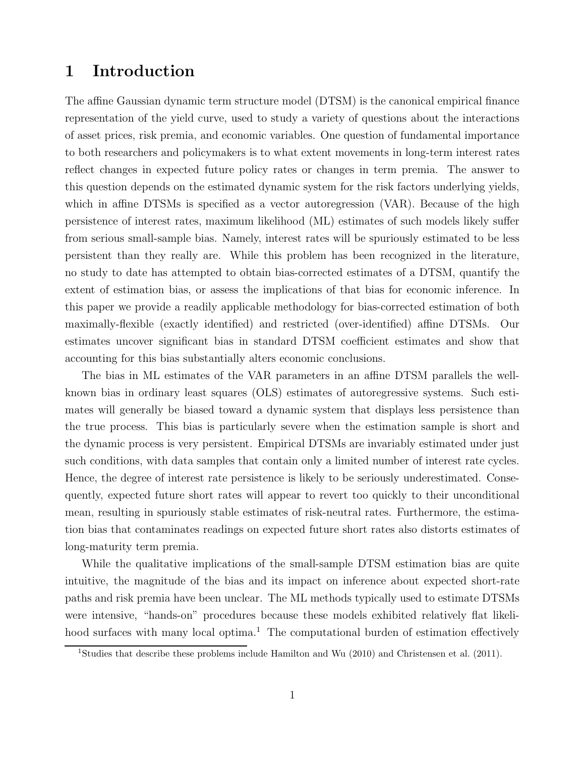### 1 Introduction

The affine Gaussian dynamic term structure model (DTSM) is the canonical empirical finance representation of the yield curve, used to study a variety of questions about the interactions of asset prices, risk premia, and economic variables. One question of fundamental importance to both researchers and policymakers is to what extent movements in long-term interest rates reflect changes in expected future policy rates or changes in term premia. The answer to this question depends on the estimated dynamic system for the risk factors underlying yields, which in affine DTSMs is specified as a vector autoregression (VAR). Because of the high persistence of interest rates, maximum likelihood (ML) estimates of such models likely suffer from serious small-sample bias. Namely, interest rates will be spuriously estimated to be less persistent than they really are. While this problem has been recognized in the literature, no study to date has attempted to obtain bias-corrected estimates of a DTSM, quantify the extent of estimation bias, or assess the implications of that bias for economic inference. In this paper we provide a readily applicable methodology for bias-corrected estimation of both maximally-flexible (exactly identified) and restricted (over-identified) affine DTSMs. Our estimates uncover significant bias in standard DTSM coefficient estimates and show that accounting for this bias substantially alters economic conclusions.

The bias in ML estimates of the VAR parameters in an affine DTSM parallels the wellknown bias in ordinary least squares (OLS) estimates of autoregressive systems. Such estimates will generally be biased toward a dynamic system that displays less persistence than the true process. This bias is particularly severe when the estimation sample is short and the dynamic process is very persistent. Empirical DTSMs are invariably estimated under just such conditions, with data samples that contain only a limited number of interest rate cycles. Hence, the degree of interest rate persistence is likely to be seriously underestimated. Consequently, expected future short rates will appear to revert too quickly to their unconditional mean, resulting in spuriously stable estimates of risk-neutral rates. Furthermore, the estimation bias that contaminates readings on expected future short rates also distorts estimates of long-maturity term premia.

While the qualitative implications of the small-sample DTSM estimation bias are quite intuitive, the magnitude of the bias and its impact on inference about expected short-rate paths and risk premia have been unclear. The ML methods typically used to estimate DTSMs were intensive, "hands-on" procedures because these models exhibited relatively flat likelihood surfaces with many local optima.<sup>1</sup> The computational burden of estimation effectively

<sup>&</sup>lt;sup>1</sup>Studies that describe these problems include Hamilton and Wu (2010) and Christensen et al. (2011).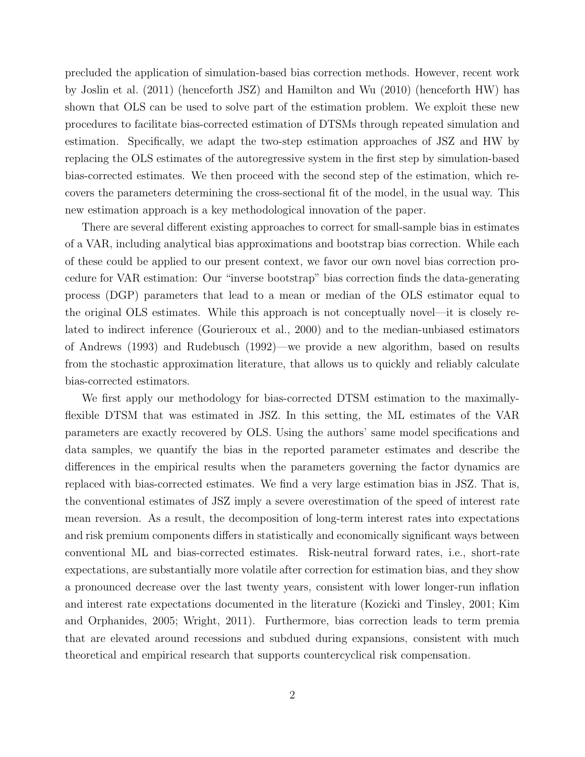precluded the application of simulation-based bias correction methods. However, recent work by Joslin et al. (2011) (henceforth JSZ) and Hamilton and Wu (2010) (henceforth HW) has shown that OLS can be used to solve part of the estimation problem. We exploit these new procedures to facilitate bias-corrected estimation of DTSMs through repeated simulation and estimation. Specifically, we adapt the two-step estimation approaches of JSZ and HW by replacing the OLS estimates of the autoregressive system in the first step by simulation-based bias-corrected estimates. We then proceed with the second step of the estimation, which recovers the parameters determining the cross-sectional fit of the model, in the usual way. This new estimation approach is a key methodological innovation of the paper.

There are several different existing approaches to correct for small-sample bias in estimates of a VAR, including analytical bias approximations and bootstrap bias correction. While each of these could be applied to our present context, we favor our own novel bias correction procedure for VAR estimation: Our "inverse bootstrap" bias correction finds the data-generating process (DGP) parameters that lead to a mean or median of the OLS estimator equal to the original OLS estimates. While this approach is not conceptually novel—it is closely related to indirect inference (Gourieroux et al., 2000) and to the median-unbiased estimators of Andrews (1993) and Rudebusch (1992)—we provide a new algorithm, based on results from the stochastic approximation literature, that allows us to quickly and reliably calculate bias-corrected estimators.

We first apply our methodology for bias-corrected DTSM estimation to the maximallyflexible DTSM that was estimated in JSZ. In this setting, the ML estimates of the VAR parameters are exactly recovered by OLS. Using the authors' same model specifications and data samples, we quantify the bias in the reported parameter estimates and describe the differences in the empirical results when the parameters governing the factor dynamics are replaced with bias-corrected estimates. We find a very large estimation bias in JSZ. That is, the conventional estimates of JSZ imply a severe overestimation of the speed of interest rate mean reversion. As a result, the decomposition of long-term interest rates into expectations and risk premium components differs in statistically and economically significant ways between conventional ML and bias-corrected estimates. Risk-neutral forward rates, i.e., short-rate expectations, are substantially more volatile after correction for estimation bias, and they show a pronounced decrease over the last twenty years, consistent with lower longer-run inflation and interest rate expectations documented in the literature (Kozicki and Tinsley, 2001; Kim and Orphanides, 2005; Wright, 2011). Furthermore, bias correction leads to term premia that are elevated around recessions and subdued during expansions, consistent with much theoretical and empirical research that supports countercyclical risk compensation.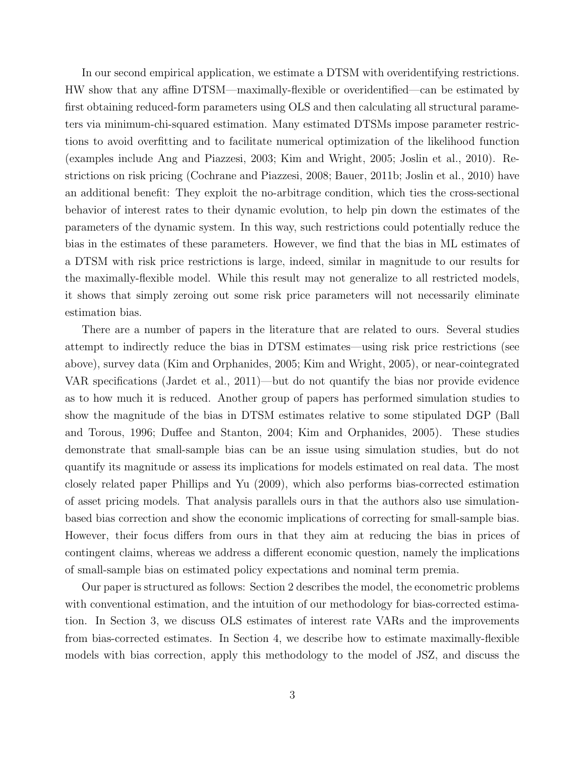In our second empirical application, we estimate a DTSM with overidentifying restrictions. HW show that any affine DTSM—maximally-flexible or overidentified—can be estimated by first obtaining reduced-form parameters using OLS and then calculating all structural parameters via minimum-chi-squared estimation. Many estimated DTSMs impose parameter restrictions to avoid overfitting and to facilitate numerical optimization of the likelihood function (examples include Ang and Piazzesi, 2003; Kim and Wright, 2005; Joslin et al., 2010). Restrictions on risk pricing (Cochrane and Piazzesi, 2008; Bauer, 2011b; Joslin et al., 2010) have an additional benefit: They exploit the no-arbitrage condition, which ties the cross-sectional behavior of interest rates to their dynamic evolution, to help pin down the estimates of the parameters of the dynamic system. In this way, such restrictions could potentially reduce the bias in the estimates of these parameters. However, we find that the bias in ML estimates of a DTSM with risk price restrictions is large, indeed, similar in magnitude to our results for the maximally-flexible model. While this result may not generalize to all restricted models, it shows that simply zeroing out some risk price parameters will not necessarily eliminate estimation bias.

There are a number of papers in the literature that are related to ours. Several studies attempt to indirectly reduce the bias in DTSM estimates—using risk price restrictions (see above), survey data (Kim and Orphanides, 2005; Kim and Wright, 2005), or near-cointegrated VAR specifications (Jardet et al., 2011)—but do not quantify the bias nor provide evidence as to how much it is reduced. Another group of papers has performed simulation studies to show the magnitude of the bias in DTSM estimates relative to some stipulated DGP (Ball and Torous, 1996; Duffee and Stanton, 2004; Kim and Orphanides, 2005). These studies demonstrate that small-sample bias can be an issue using simulation studies, but do not quantify its magnitude or assess its implications for models estimated on real data. The most closely related paper Phillips and Yu (2009), which also performs bias-corrected estimation of asset pricing models. That analysis parallels ours in that the authors also use simulationbased bias correction and show the economic implications of correcting for small-sample bias. However, their focus differs from ours in that they aim at reducing the bias in prices of contingent claims, whereas we address a different economic question, namely the implications of small-sample bias on estimated policy expectations and nominal term premia.

Our paper is structured as follows: Section 2 describes the model, the econometric problems with conventional estimation, and the intuition of our methodology for bias-corrected estimation. In Section 3, we discuss OLS estimates of interest rate VARs and the improvements from bias-corrected estimates. In Section 4, we describe how to estimate maximally-flexible models with bias correction, apply this methodology to the model of JSZ, and discuss the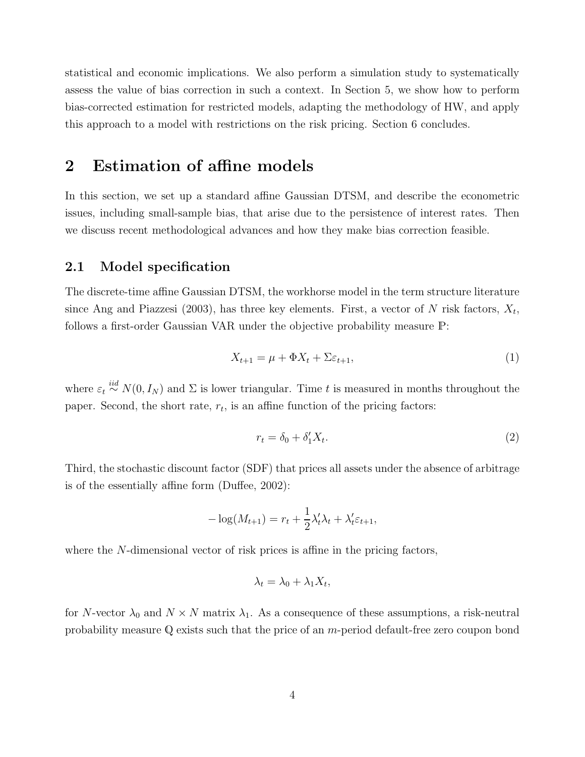statistical and economic implications. We also perform a simulation study to systematically assess the value of bias correction in such a context. In Section 5, we show how to perform bias-corrected estimation for restricted models, adapting the methodology of HW, and apply this approach to a model with restrictions on the risk pricing. Section 6 concludes.

### 2 Estimation of affine models

In this section, we set up a standard affine Gaussian DTSM, and describe the econometric issues, including small-sample bias, that arise due to the persistence of interest rates. Then we discuss recent methodological advances and how they make bias correction feasible.

#### 2.1 Model specification

The discrete-time affine Gaussian DTSM, the workhorse model in the term structure literature since Ang and Piazzesi (2003), has three key elements. First, a vector of N risk factors,  $X_t$ , follows a first-order Gaussian VAR under the objective probability measure P:

$$
X_{t+1} = \mu + \Phi X_t + \Sigma \varepsilon_{t+1},\tag{1}
$$

where  $\varepsilon_t \stackrel{iid}{\sim} N(0, I_N)$  and  $\Sigma$  is lower triangular. Time t is measured in months throughout the paper. Second, the short rate,  $r_t$ , is an affine function of the pricing factors:

$$
r_t = \delta_0 + \delta'_1 X_t. \tag{2}
$$

Third, the stochastic discount factor (SDF) that prices all assets under the absence of arbitrage is of the essentially affine form (Duffee, 2002):

$$
-\log(M_{t+1}) = r_t + \frac{1}{2}\lambda_t'\lambda_t + \lambda_t'\varepsilon_{t+1},
$$

where the N-dimensional vector of risk prices is affine in the pricing factors,

$$
\lambda_t = \lambda_0 + \lambda_1 X_t,
$$

for N-vector  $\lambda_0$  and  $N \times N$  matrix  $\lambda_1$ . As a consequence of these assumptions, a risk-neutral probability measure Q exists such that the price of an m-period default-free zero coupon bond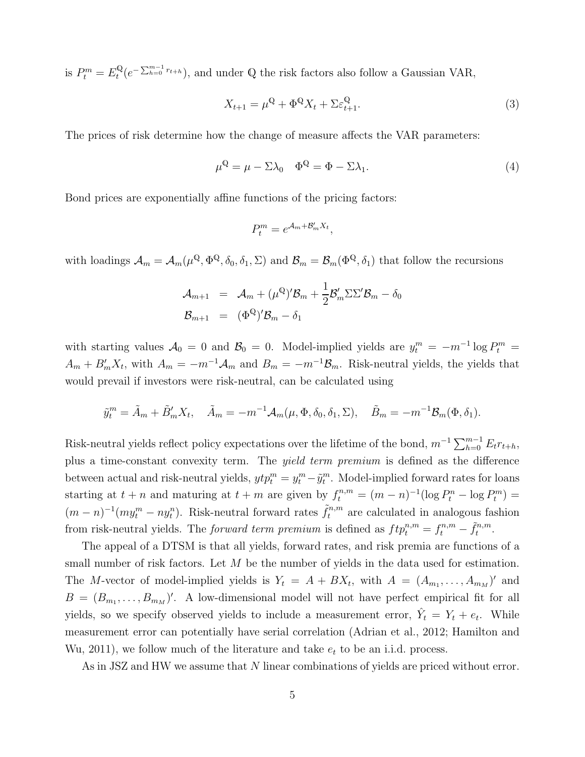is  $P_t^m = E_t^{\mathbb{Q}}$  $t^{Q}(e^{-\sum_{h=0}^{m-1}r_{t+h}})$ , and under Q the risk factors also follow a Gaussian VAR,

$$
X_{t+1} = \mu^{\mathbb{Q}} + \Phi^{\mathbb{Q}} X_t + \Sigma \varepsilon_{t+1}^{\mathbb{Q}}.
$$
 (3)

The prices of risk determine how the change of measure affects the VAR parameters:

$$
\mu^{\mathbb{Q}} = \mu - \Sigma \lambda_0 \quad \Phi^{\mathbb{Q}} = \Phi - \Sigma \lambda_1. \tag{4}
$$

Bond prices are exponentially affine functions of the pricing factors:

$$
P_t^m = e^{\mathcal{A}_m + \mathcal{B}_m' X_t},
$$

with loadings  $A_m = A_m(\mu^{\mathbb{Q}}, \Phi^{\mathbb{Q}}, \delta_0, \delta_1, \Sigma)$  and  $\mathcal{B}_m = \mathcal{B}_m(\Phi^{\mathbb{Q}}, \delta_1)$  that follow the recursions

$$
\mathcal{A}_{m+1} = \mathcal{A}_m + (\mu^{\mathbb{Q}})' \mathcal{B}_m + \frac{1}{2} \mathcal{B}'_m \Sigma \Sigma' \mathcal{B}_m - \delta_0
$$
  

$$
\mathcal{B}_{m+1} = (\Phi^{\mathbb{Q}})' \mathcal{B}_m - \delta_1
$$

with starting values  $\mathcal{A}_0 = 0$  and  $\mathcal{B}_0 = 0$ . Model-implied yields are  $y_t^m = -m^{-1} \log P_t^m =$  $A_m + B'_m X_t$ , with  $A_m = -m^{-1}A_m$  and  $B_m = -m^{-1}B_m$ . Risk-neutral yields, the yields that would prevail if investors were risk-neutral, can be calculated using

$$
\tilde{y}_t^m = \tilde{A}_m + \tilde{B}_m' X_t, \quad \tilde{A}_m = -m^{-1} \mathcal{A}_m(\mu, \Phi, \delta_0, \delta_1, \Sigma), \quad \tilde{B}_m = -m^{-1} \mathcal{B}_m(\Phi, \delta_1).
$$

Risk-neutral yields reflect policy expectations over the lifetime of the bond,  $m^{-1} \sum_{h=0}^{m-1} E_t r_{t+h}$ , plus a time-constant convexity term. The yield term premium is defined as the difference between actual and risk-neutral yields,  $ytp_t^m = y_t^m - \tilde{y}_t^m$ . Model-implied forward rates for loans starting at  $t + n$  and maturing at  $t + m$  are given by  $f_t^{n,m} = (m - n)^{-1} (\log P_t^n - \log P_t^m) =$  $(m-n)^{-1}(my_t^m-ny_t^n)$ . Risk-neutral forward rates  $\tilde{f}_t^{n,m}$  are calculated in analogous fashion from risk-neutral yields. The *forward term premium* is defined as  $ftp_t^{n,m} = f_t^{n,m} - \tilde{f}_t^{n,m}$  $t^{n,m}$ .

The appeal of a DTSM is that all yields, forward rates, and risk premia are functions of a small number of risk factors. Let  $M$  be the number of yields in the data used for estimation. The M-vector of model-implied yields is  $Y_t = A + BX_t$ , with  $A = (A_{m_1}, \ldots, A_{m_M})'$  and  $B = (B_{m_1}, \ldots, B_{m_M})'$ . A low-dimensional model will not have perfect empirical fit for all yields, so we specify observed yields to include a measurement error,  $\hat{Y}_t = Y_t + e_t$ . While measurement error can potentially have serial correlation (Adrian et al., 2012; Hamilton and Wu, 2011), we follow much of the literature and take  $e_t$  to be an i.i.d. process.

As in JSZ and HW we assume that N linear combinations of yields are priced without error.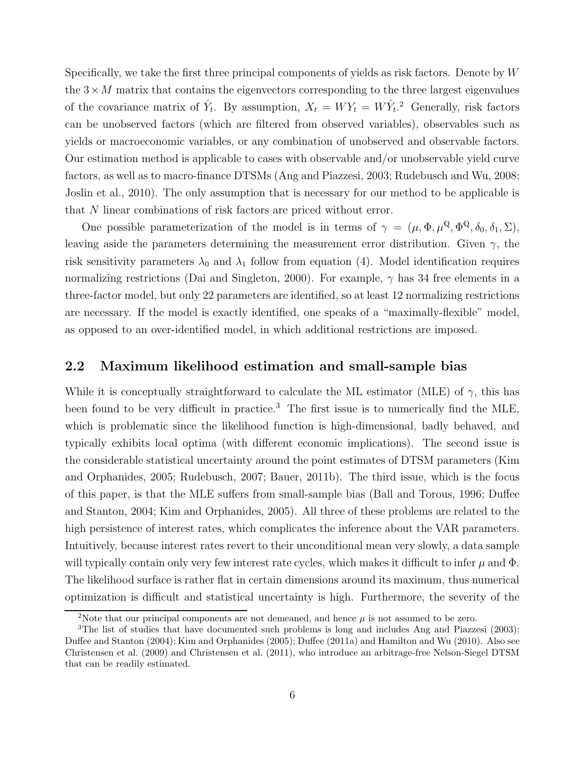Specifically, we take the first three principal components of yields as risk factors. Denote by  $W$ the  $3 \times M$  matrix that contains the eigenvectors corresponding to the three largest eigenvalues of the covariance matrix of  $\hat{Y}_t$ . By assumption,  $X_t = W Y_t = W \hat{Y}_t$ <sup>2</sup> Generally, risk factors can be unobserved factors (which are filtered from observed variables), observables such as yields or macroeconomic variables, or any combination of unobserved and observable factors. Our estimation method is applicable to cases with observable and/or unobservable yield curve factors, as well as to macro-finance DTSMs (Ang and Piazzesi, 2003; Rudebusch and Wu, 2008; Joslin et al., 2010). The only assumption that is necessary for our method to be applicable is that N linear combinations of risk factors are priced without error.

One possible parameterization of the model is in terms of  $\gamma = (\mu, \Phi, \mu^{\mathbb{Q}}, \Phi^{\mathbb{Q}}, \delta_0, \delta_1, \Sigma),$ leaving aside the parameters determining the measurement error distribution. Given  $\gamma$ , the risk sensitivity parameters  $\lambda_0$  and  $\lambda_1$  follow from equation (4). Model identification requires normalizing restrictions (Dai and Singleton, 2000). For example,  $\gamma$  has 34 free elements in a three-factor model, but only 22 parameters are identified, so at least 12 normalizing restrictions are necessary. If the model is exactly identified, one speaks of a "maximally-flexible" model, as opposed to an over-identified model, in which additional restrictions are imposed.

#### 2.2 Maximum likelihood estimation and small-sample bias

While it is conceptually straightforward to calculate the ML estimator (MLE) of  $\gamma$ , this has been found to be very difficult in practice.<sup>3</sup> The first issue is to numerically find the MLE, which is problematic since the likelihood function is high-dimensional, badly behaved, and typically exhibits local optima (with different economic implications). The second issue is the considerable statistical uncertainty around the point estimates of DTSM parameters (Kim and Orphanides, 2005; Rudebusch, 2007; Bauer, 2011b). The third issue, which is the focus of this paper, is that the MLE suffers from small-sample bias (Ball and Torous, 1996; Duffee and Stanton, 2004; Kim and Orphanides, 2005). All three of these problems are related to the high persistence of interest rates, which complicates the inference about the VAR parameters. Intuitively, because interest rates revert to their unconditional mean very slowly, a data sample will typically contain only very few interest rate cycles, which makes it difficult to infer  $\mu$  and  $\Phi$ . The likelihood surface is rather flat in certain dimensions around its maximum, thus numerical optimization is difficult and statistical uncertainty is high. Furthermore, the severity of the

<sup>&</sup>lt;sup>2</sup>Note that our principal components are not demeaned, and hence  $\mu$  is not assumed to be zero.

<sup>&</sup>lt;sup>3</sup>The list of studies that have documented such problems is long and includes Ang and Piazzesi (2003); Duffee and Stanton (2004); Kim and Orphanides (2005); Duffee (2011a) and Hamilton and Wu (2010). Also see Christensen et al. (2009) and Christensen et al. (2011), who introduce an arbitrage-free Nelson-Siegel DTSM that can be readily estimated.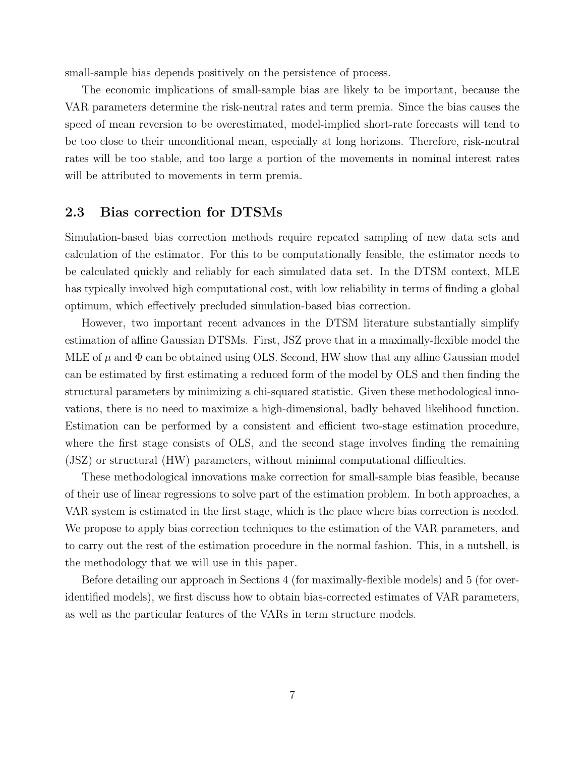small-sample bias depends positively on the persistence of process.

The economic implications of small-sample bias are likely to be important, because the VAR parameters determine the risk-neutral rates and term premia. Since the bias causes the speed of mean reversion to be overestimated, model-implied short-rate forecasts will tend to be too close to their unconditional mean, especially at long horizons. Therefore, risk-neutral rates will be too stable, and too large a portion of the movements in nominal interest rates will be attributed to movements in term premia.

#### 2.3 Bias correction for DTSMs

Simulation-based bias correction methods require repeated sampling of new data sets and calculation of the estimator. For this to be computationally feasible, the estimator needs to be calculated quickly and reliably for each simulated data set. In the DTSM context, MLE has typically involved high computational cost, with low reliability in terms of finding a global optimum, which effectively precluded simulation-based bias correction.

However, two important recent advances in the DTSM literature substantially simplify estimation of affine Gaussian DTSMs. First, JSZ prove that in a maximally-flexible model the MLE of  $\mu$  and  $\Phi$  can be obtained using OLS. Second, HW show that any affine Gaussian model can be estimated by first estimating a reduced form of the model by OLS and then finding the structural parameters by minimizing a chi-squared statistic. Given these methodological innovations, there is no need to maximize a high-dimensional, badly behaved likelihood function. Estimation can be performed by a consistent and efficient two-stage estimation procedure, where the first stage consists of OLS, and the second stage involves finding the remaining (JSZ) or structural (HW) parameters, without minimal computational difficulties.

These methodological innovations make correction for small-sample bias feasible, because of their use of linear regressions to solve part of the estimation problem. In both approaches, a VAR system is estimated in the first stage, which is the place where bias correction is needed. We propose to apply bias correction techniques to the estimation of the VAR parameters, and to carry out the rest of the estimation procedure in the normal fashion. This, in a nutshell, is the methodology that we will use in this paper.

Before detailing our approach in Sections 4 (for maximally-flexible models) and 5 (for overidentified models), we first discuss how to obtain bias-corrected estimates of VAR parameters, as well as the particular features of the VARs in term structure models.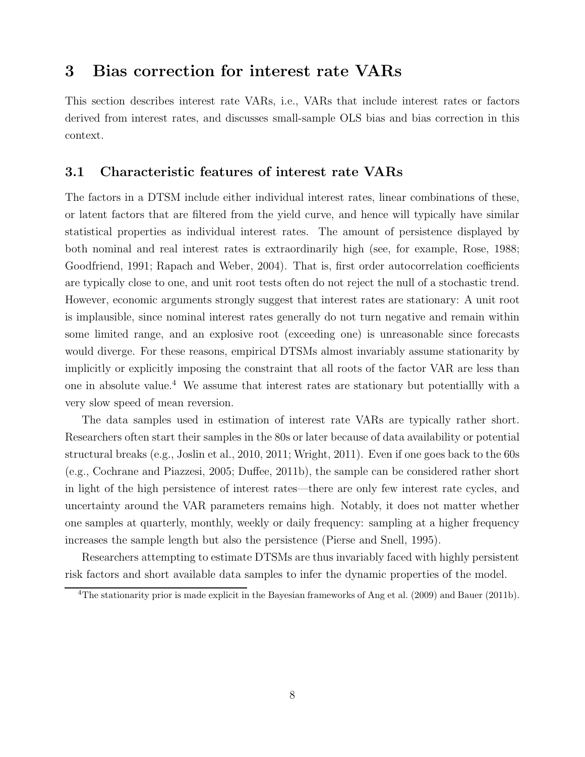### 3 Bias correction for interest rate VARs

This section describes interest rate VARs, i.e., VARs that include interest rates or factors derived from interest rates, and discusses small-sample OLS bias and bias correction in this context.

#### 3.1 Characteristic features of interest rate VARs

The factors in a DTSM include either individual interest rates, linear combinations of these, or latent factors that are filtered from the yield curve, and hence will typically have similar statistical properties as individual interest rates. The amount of persistence displayed by both nominal and real interest rates is extraordinarily high (see, for example, Rose, 1988; Goodfriend, 1991; Rapach and Weber, 2004). That is, first order autocorrelation coefficients are typically close to one, and unit root tests often do not reject the null of a stochastic trend. However, economic arguments strongly suggest that interest rates are stationary: A unit root is implausible, since nominal interest rates generally do not turn negative and remain within some limited range, and an explosive root (exceeding one) is unreasonable since forecasts would diverge. For these reasons, empirical DTSMs almost invariably assume stationarity by implicitly or explicitly imposing the constraint that all roots of the factor VAR are less than one in absolute value.<sup>4</sup> We assume that interest rates are stationary but potentiallly with a very slow speed of mean reversion.

The data samples used in estimation of interest rate VARs are typically rather short. Researchers often start their samples in the 80s or later because of data availability or potential structural breaks (e.g., Joslin et al., 2010, 2011; Wright, 2011). Even if one goes back to the 60s (e.g., Cochrane and Piazzesi, 2005; Duffee, 2011b), the sample can be considered rather short in light of the high persistence of interest rates—there are only few interest rate cycles, and uncertainty around the VAR parameters remains high. Notably, it does not matter whether one samples at quarterly, monthly, weekly or daily frequency: sampling at a higher frequency increases the sample length but also the persistence (Pierse and Snell, 1995).

Researchers attempting to estimate DTSMs are thus invariably faced with highly persistent risk factors and short available data samples to infer the dynamic properties of the model.

<sup>&</sup>lt;sup>4</sup>The stationarity prior is made explicit in the Bayesian frameworks of Ang et al. (2009) and Bauer (2011b).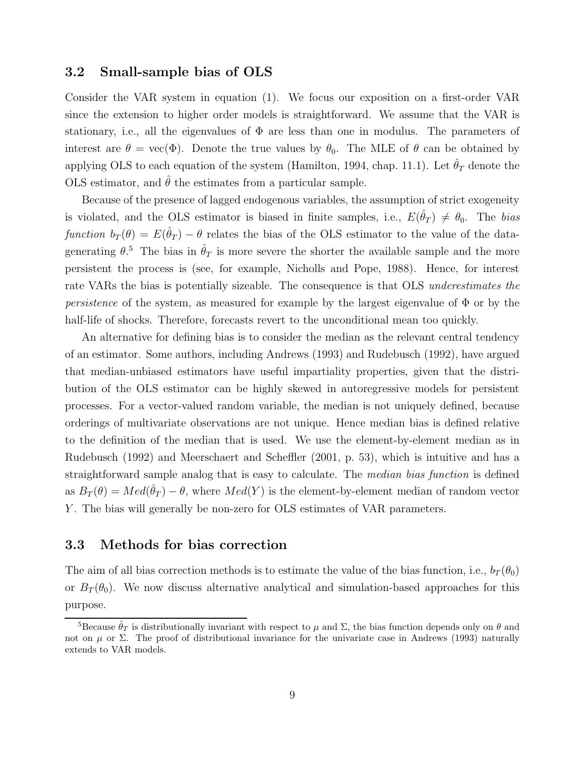#### 3.2 Small-sample bias of OLS

Consider the VAR system in equation (1). We focus our exposition on a first-order VAR since the extension to higher order models is straightforward. We assume that the VAR is stationary, i.e., all the eigenvalues of  $\Phi$  are less than one in modulus. The parameters of interest are  $\theta = \text{vec}(\Phi)$ . Denote the true values by  $\theta_0$ . The MLE of  $\theta$  can be obtained by applying OLS to each equation of the system (Hamilton, 1994, chap. 11.1). Let  $\hat{\theta}_T$  denote the OLS estimator, and  $\hat{\theta}$  the estimates from a particular sample.

Because of the presence of lagged endogenous variables, the assumption of strict exogeneity is violated, and the OLS estimator is biased in finite samples, i.e.,  $E(\hat{\theta}_T) \neq \theta_0$ . The bias function  $b_T(\theta) = E(\hat{\theta}_T) - \theta$  relates the bias of the OLS estimator to the value of the datagenerating  $\theta$ <sup>5</sup>. The bias in  $\hat{\theta}_T$  is more severe the shorter the available sample and the more persistent the process is (see, for example, Nicholls and Pope, 1988). Hence, for interest rate VARs the bias is potentially sizeable. The consequence is that OLS underestimates the *persistence* of the system, as measured for example by the largest eigenvalue of  $\Phi$  or by the half-life of shocks. Therefore, forecasts revert to the unconditional mean too quickly.

An alternative for defining bias is to consider the median as the relevant central tendency of an estimator. Some authors, including Andrews (1993) and Rudebusch (1992), have argued that median-unbiased estimators have useful impartiality properties, given that the distribution of the OLS estimator can be highly skewed in autoregressive models for persistent processes. For a vector-valued random variable, the median is not uniquely defined, because orderings of multivariate observations are not unique. Hence median bias is defined relative to the definition of the median that is used. We use the element-by-element median as in Rudebusch (1992) and Meerschaert and Scheffler (2001, p. 53), which is intuitive and has a straightforward sample analog that is easy to calculate. The *median bias function* is defined as  $B_T(\theta) = Med(\hat{\theta}_T) - \theta$ , where  $Med(Y)$  is the element-by-element median of random vector Y. The bias will generally be non-zero for OLS estimates of VAR parameters.

#### 3.3 Methods for bias correction

The aim of all bias correction methods is to estimate the value of the bias function, i.e.,  $b_T(\theta_0)$ or  $B_T(\theta_0)$ . We now discuss alternative analytical and simulation-based approaches for this purpose.

<sup>&</sup>lt;sup>5</sup>Because  $\hat{\theta}_T$  is distributionally invariant with respect to  $\mu$  and  $\Sigma$ , the bias function depends only on  $\theta$  and not on  $\mu$  or  $\Sigma$ . The proof of distributional invariance for the univariate case in Andrews (1993) naturally extends to VAR models.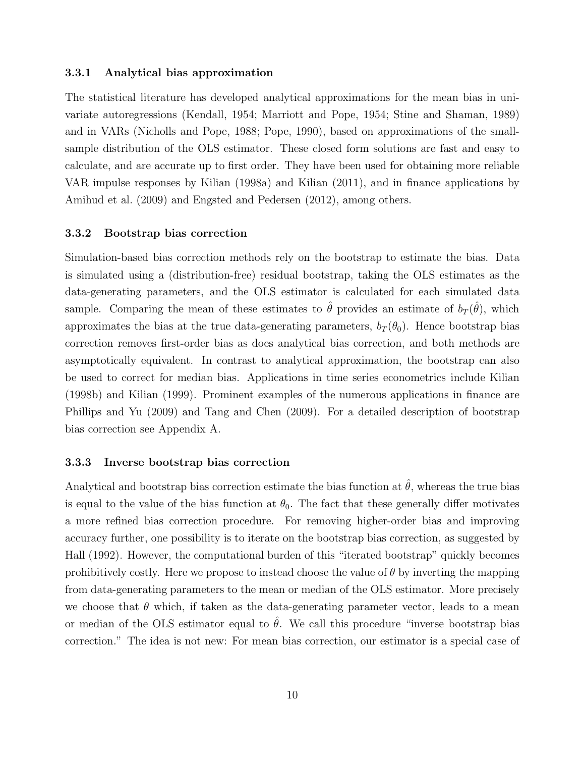#### 3.3.1 Analytical bias approximation

The statistical literature has developed analytical approximations for the mean bias in univariate autoregressions (Kendall, 1954; Marriott and Pope, 1954; Stine and Shaman, 1989) and in VARs (Nicholls and Pope, 1988; Pope, 1990), based on approximations of the smallsample distribution of the OLS estimator. These closed form solutions are fast and easy to calculate, and are accurate up to first order. They have been used for obtaining more reliable VAR impulse responses by Kilian (1998a) and Kilian (2011), and in finance applications by Amihud et al. (2009) and Engsted and Pedersen (2012), among others.

#### 3.3.2 Bootstrap bias correction

Simulation-based bias correction methods rely on the bootstrap to estimate the bias. Data is simulated using a (distribution-free) residual bootstrap, taking the OLS estimates as the data-generating parameters, and the OLS estimator is calculated for each simulated data sample. Comparing the mean of these estimates to  $\hat{\theta}$  provides an estimate of  $b_T(\hat{\theta})$ , which approximates the bias at the true data-generating parameters,  $b_T(\theta_0)$ . Hence bootstrap bias correction removes first-order bias as does analytical bias correction, and both methods are asymptotically equivalent. In contrast to analytical approximation, the bootstrap can also be used to correct for median bias. Applications in time series econometrics include Kilian (1998b) and Kilian (1999). Prominent examples of the numerous applications in finance are Phillips and Yu (2009) and Tang and Chen (2009). For a detailed description of bootstrap bias correction see Appendix A.

#### 3.3.3 Inverse bootstrap bias correction

Analytical and bootstrap bias correction estimate the bias function at  $\hat{\theta}$ , whereas the true bias is equal to the value of the bias function at  $\theta_0$ . The fact that these generally differ motivates a more refined bias correction procedure. For removing higher-order bias and improving accuracy further, one possibility is to iterate on the bootstrap bias correction, as suggested by Hall (1992). However, the computational burden of this "iterated bootstrap" quickly becomes prohibitively costly. Here we propose to instead choose the value of  $\theta$  by inverting the mapping from data-generating parameters to the mean or median of the OLS estimator. More precisely we choose that  $\theta$  which, if taken as the data-generating parameter vector, leads to a mean or median of the OLS estimator equal to  $\hat{\theta}$ . We call this procedure "inverse bootstrap bias correction." The idea is not new: For mean bias correction, our estimator is a special case of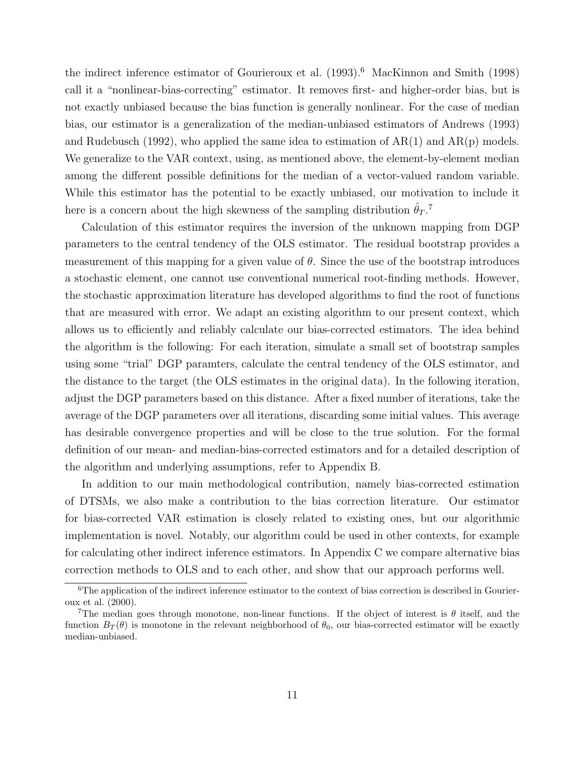the indirect inference estimator of Gourieroux et al.  $(1993).<sup>6</sup>$  MacKinnon and Smith  $(1998)$ call it a "nonlinear-bias-correcting" estimator. It removes first- and higher-order bias, but is not exactly unbiased because the bias function is generally nonlinear. For the case of median bias, our estimator is a generalization of the median-unbiased estimators of Andrews (1993) and Rudebusch (1992), who applied the same idea to estimation of  $AR(1)$  and  $AR(p)$  models. We generalize to the VAR context, using, as mentioned above, the element-by-element median among the different possible definitions for the median of a vector-valued random variable. While this estimator has the potential to be exactly unbiased, our motivation to include it here is a concern about the high skewness of the sampling distribution  $\hat{\theta}_T$ .<sup>7</sup>

Calculation of this estimator requires the inversion of the unknown mapping from DGP parameters to the central tendency of the OLS estimator. The residual bootstrap provides a measurement of this mapping for a given value of  $\theta$ . Since the use of the bootstrap introduces a stochastic element, one cannot use conventional numerical root-finding methods. However, the stochastic approximation literature has developed algorithms to find the root of functions that are measured with error. We adapt an existing algorithm to our present context, which allows us to efficiently and reliably calculate our bias-corrected estimators. The idea behind the algorithm is the following: For each iteration, simulate a small set of bootstrap samples using some "trial" DGP paramters, calculate the central tendency of the OLS estimator, and the distance to the target (the OLS estimates in the original data). In the following iteration, adjust the DGP parameters based on this distance. After a fixed number of iterations, take the average of the DGP parameters over all iterations, discarding some initial values. This average has desirable convergence properties and will be close to the true solution. For the formal definition of our mean- and median-bias-corrected estimators and for a detailed description of the algorithm and underlying assumptions, refer to Appendix B.

In addition to our main methodological contribution, namely bias-corrected estimation of DTSMs, we also make a contribution to the bias correction literature. Our estimator for bias-corrected VAR estimation is closely related to existing ones, but our algorithmic implementation is novel. Notably, our algorithm could be used in other contexts, for example for calculating other indirect inference estimators. In Appendix C we compare alternative bias correction methods to OLS and to each other, and show that our approach performs well.

 ${}^{6}$ The application of the indirect inference estimator to the context of bias correction is described in Gourieroux et al. (2000).

<sup>&</sup>lt;sup>7</sup>The median goes through monotone, non-linear functions. If the object of interest is  $\theta$  itself, and the function  $B_T(\theta)$  is monotone in the relevant neighborhood of  $\theta_0$ , our bias-corrected estimator will be exactly median-unbiased.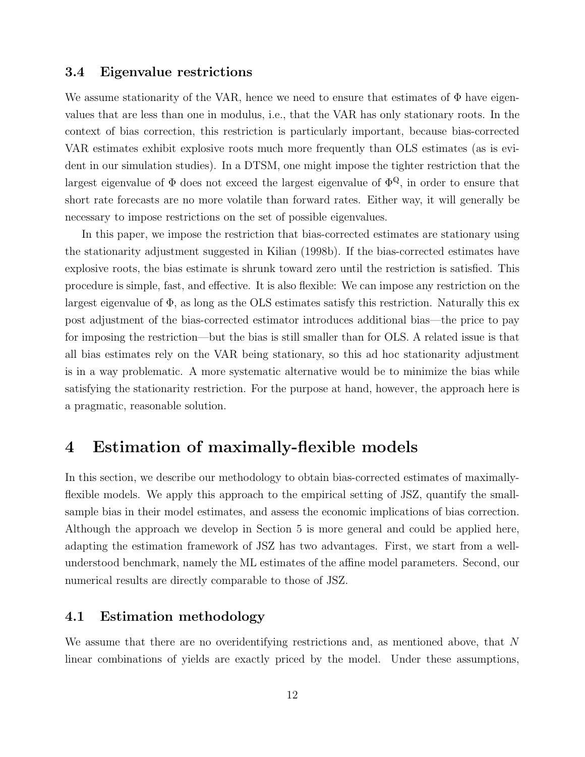#### 3.4 Eigenvalue restrictions

We assume stationarity of the VAR, hence we need to ensure that estimates of  $\Phi$  have eigenvalues that are less than one in modulus, i.e., that the VAR has only stationary roots. In the context of bias correction, this restriction is particularly important, because bias-corrected VAR estimates exhibit explosive roots much more frequently than OLS estimates (as is evident in our simulation studies). In a DTSM, one might impose the tighter restriction that the largest eigenvalue of  $\Phi$  does not exceed the largest eigenvalue of  $\Phi^{\mathbb{Q}}$ , in order to ensure that short rate forecasts are no more volatile than forward rates. Either way, it will generally be necessary to impose restrictions on the set of possible eigenvalues.

In this paper, we impose the restriction that bias-corrected estimates are stationary using the stationarity adjustment suggested in Kilian (1998b). If the bias-corrected estimates have explosive roots, the bias estimate is shrunk toward zero until the restriction is satisfied. This procedure is simple, fast, and effective. It is also flexible: We can impose any restriction on the largest eigenvalue of  $\Phi$ , as long as the OLS estimates satisfy this restriction. Naturally this expost adjustment of the bias-corrected estimator introduces additional bias—the price to pay for imposing the restriction—but the bias is still smaller than for OLS. A related issue is that all bias estimates rely on the VAR being stationary, so this ad hoc stationarity adjustment is in a way problematic. A more systematic alternative would be to minimize the bias while satisfying the stationarity restriction. For the purpose at hand, however, the approach here is a pragmatic, reasonable solution.

### 4 Estimation of maximally-flexible models

In this section, we describe our methodology to obtain bias-corrected estimates of maximallyflexible models. We apply this approach to the empirical setting of JSZ, quantify the smallsample bias in their model estimates, and assess the economic implications of bias correction. Although the approach we develop in Section 5 is more general and could be applied here, adapting the estimation framework of JSZ has two advantages. First, we start from a wellunderstood benchmark, namely the ML estimates of the affine model parameters. Second, our numerical results are directly comparable to those of JSZ.

#### 4.1 Estimation methodology

We assume that there are no overidentifying restrictions and, as mentioned above, that  $N$ linear combinations of yields are exactly priced by the model. Under these assumptions,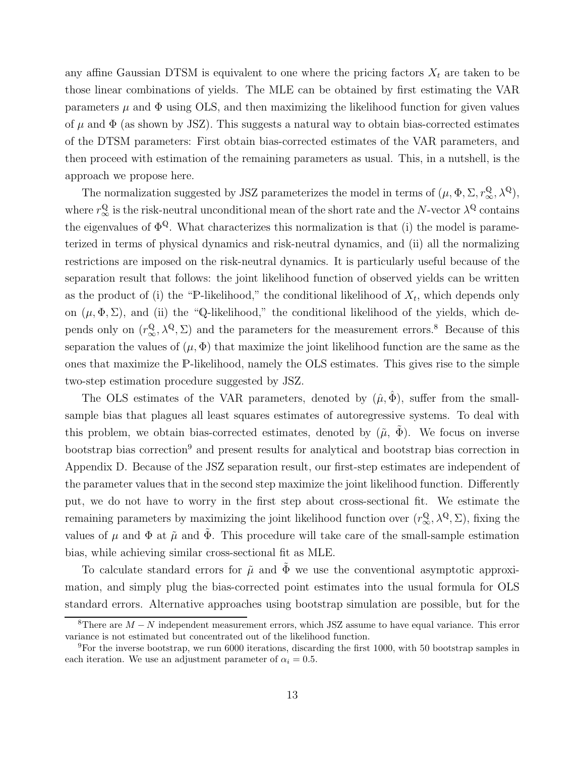any affine Gaussian DTSM is equivalent to one where the pricing factors  $X_t$  are taken to be those linear combinations of yields. The MLE can be obtained by first estimating the VAR parameters  $\mu$  and  $\Phi$  using OLS, and then maximizing the likelihood function for given values of  $\mu$  and  $\Phi$  (as shown by JSZ). This suggests a natural way to obtain bias-corrected estimates of the DTSM parameters: First obtain bias-corrected estimates of the VAR parameters, and then proceed with estimation of the remaining parameters as usual. This, in a nutshell, is the approach we propose here.

The normalization suggested by JSZ parameterizes the model in terms of  $(\mu, \Phi, \Sigma, r^{\mathbb{Q}}_{\infty}, \lambda^{\mathbb{Q}})$ , where  $r^{\mathbb{Q}}_{\infty}$  is the risk-neutral unconditional mean of the short rate and the N-vector  $\lambda^{\mathbb{Q}}$  contains the eigenvalues of  $\Phi^{\mathbb{Q}}$ . What characterizes this normalization is that (i) the model is parameterized in terms of physical dynamics and risk-neutral dynamics, and (ii) all the normalizing restrictions are imposed on the risk-neutral dynamics. It is particularly useful because of the separation result that follows: the joint likelihood function of observed yields can be written as the product of (i) the "P-likelihood," the conditional likelihood of  $X_t$ , which depends only on  $(\mu, \Phi, \Sigma)$ , and (ii) the "Q-likelihood," the conditional likelihood of the yields, which depends only on  $(r_\infty^{\mathbb{Q}}, \lambda^{\mathbb{Q}}, \Sigma)$  and the parameters for the measurement errors.<sup>8</sup> Because of this separation the values of  $(\mu, \Phi)$  that maximize the joint likelihood function are the same as the ones that maximize the P-likelihood, namely the OLS estimates. This gives rise to the simple two-step estimation procedure suggested by JSZ.

The OLS estimates of the VAR parameters, denoted by  $(\hat{\mu}, \hat{\Phi})$ , suffer from the smallsample bias that plagues all least squares estimates of autoregressive systems. To deal with this problem, we obtain bias-corrected estimates, denoted by  $(\tilde{\mu}, \tilde{\Phi})$ . We focus on inverse bootstrap bias correction<sup>9</sup> and present results for analytical and bootstrap bias correction in Appendix D. Because of the JSZ separation result, our first-step estimates are independent of the parameter values that in the second step maximize the joint likelihood function. Differently put, we do not have to worry in the first step about cross-sectional fit. We estimate the remaining parameters by maximizing the joint likelihood function over  $(r_{\infty}^{Q}, \lambda^{Q}, \Sigma)$ , fixing the values of  $\mu$  and  $\Phi$  at  $\tilde{\mu}$  and  $\tilde{\Phi}$ . This procedure will take care of the small-sample estimation bias, while achieving similar cross-sectional fit as MLE.

To calculate standard errors for  $\tilde{\mu}$  and  $\tilde{\Phi}$  we use the conventional asymptotic approximation, and simply plug the bias-corrected point estimates into the usual formula for OLS standard errors. Alternative approaches using bootstrap simulation are possible, but for the

<sup>&</sup>lt;sup>8</sup>There are  $M - N$  independent measurement errors, which JSZ assume to have equal variance. This error variance is not estimated but concentrated out of the likelihood function.

<sup>9</sup>For the inverse bootstrap, we run 6000 iterations, discarding the first 1000, with 50 bootstrap samples in each iteration. We use an adjustment parameter of  $\alpha_i = 0.5$ .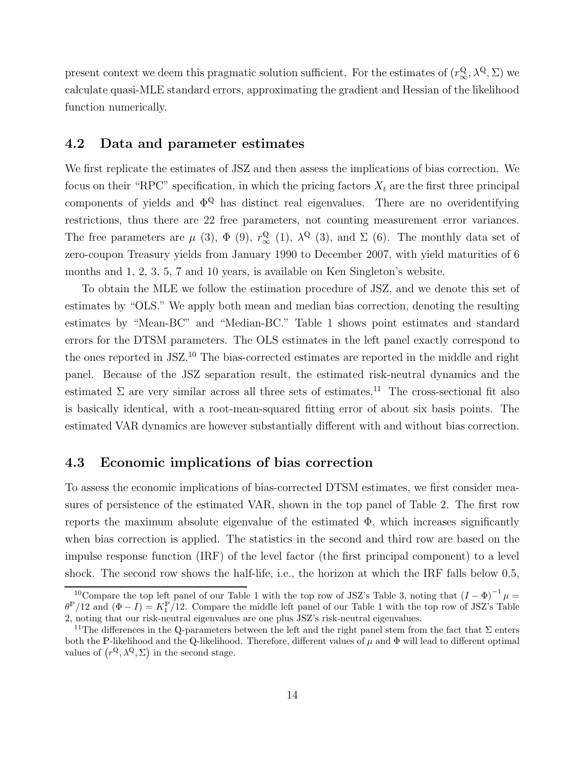present context we deem this pragmatic solution sufficient. For the estimates of  $(r_{\infty}^{Q}, \lambda^{Q}, \Sigma)$  we calculate quasi-MLE standard errors, approximating the gradient and Hessian of the likelihood function numerically.

#### 4.2 Data and parameter estimates

We first replicate the estimates of JSZ and then assess the implications of bias correction. We focus on their "RPC" specification, in which the pricing factors  $X_t$  are the first three principal components of yields and  $\Phi^{\mathbb{Q}}$  has distinct real eigenvalues. There are no overidentifying restrictions, thus there are 22 free parameters, not counting measurement error variances. The free parameters are  $\mu$  (3),  $\Phi$  (9),  $r^{\mathbb{Q}}_{\infty}$  (1),  $\lambda^{\mathbb{Q}}$  (3), and  $\Sigma$  (6). The monthly data set of zero-coupon Treasury yields from January 1990 to December 2007, with yield maturities of 6 months and 1, 2, 3, 5, 7 and 10 years, is available on Ken Singleton's website.

To obtain the MLE we follow the estimation procedure of JSZ, and we denote this set of estimates by "OLS." We apply both mean and median bias correction, denoting the resulting estimates by "Mean-BC" and "Median-BC." Table 1 shows point estimates and standard errors for the DTSM parameters. The OLS estimates in the left panel exactly correspond to the ones reported in JSZ.<sup>10</sup> The bias-corrected estimates are reported in the middle and right panel. Because of the JSZ separation result, the estimated risk-neutral dynamics and the estimated  $\Sigma$  are very similar across all three sets of estimates.<sup>11</sup> The cross-sectional fit also is basically identical, with a root-mean-squared fitting error of about six basis points. The estimated VAR dynamics are however substantially different with and without bias correction.

#### 4.3 Economic implications of bias correction

To assess the economic implications of bias-corrected DTSM estimates, we first consider measures of persistence of the estimated VAR, shown in the top panel of Table 2. The first row reports the maximum absolute eigenvalue of the estimated  $\Phi$ , which increases significantly when bias correction is applied. The statistics in the second and third row are based on the impulse response function (IRF) of the level factor (the first principal component) to a level shock. The second row shows the half-life, i.e., the horizon at which the IRF falls below 0.5,

<sup>&</sup>lt;sup>10</sup>Compare the top left panel of our Table 1 with the top row of JSZ's Table 3, noting that  $(I - \Phi)^{-1} \mu =$  $\theta^{\mathbb{P}}/12$  and  $(\Phi - I) = K_1^{\mathbb{P}}/12$ . Compare the middle left panel of our Table 1 with the top row of JSZ's Table 2, noting that our risk-neutral eigenvalues are one plus JSZ's risk-neutral eigenvalues.

<sup>&</sup>lt;sup>11</sup>The differences in the Q-parameters between the left and the right panel stem from the fact that  $\Sigma$  enters both the P-likelihood and the Q-likelihood. Therefore, different values of  $\mu$  and  $\Phi$  will lead to different optimal values of  $(r^{\mathbb{Q}}, \lambda^{\mathbb{Q}}, \Sigma)$  in the second stage.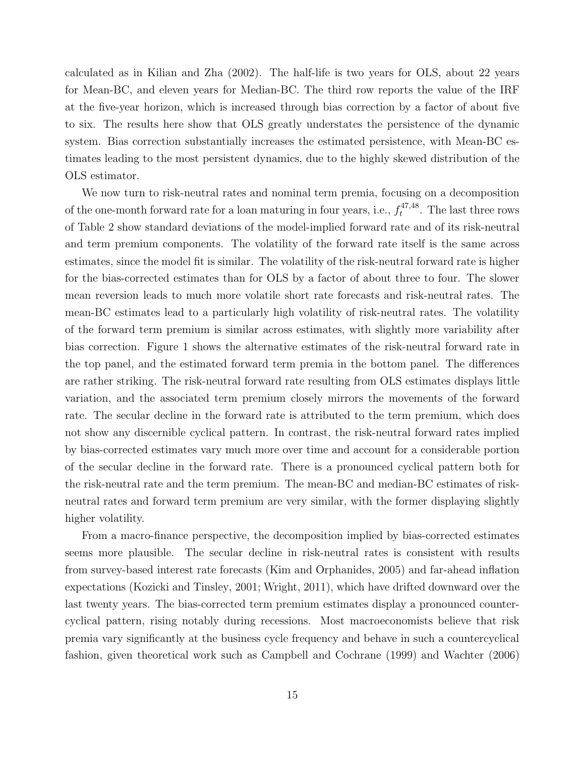calculated as in Kilian and Zha (2002). The half-life is two years for OLS, about 22 years for Mean-BC, and eleven years for Median-BC. The third row reports the value of the IRF at the five-year horizon, which is increased through bias correction by a factor of about five to six. The results here show that OLS greatly understates the persistence of the dynamic system. Bias correction substantially increases the estimated persistence, with Mean-BC estimates leading to the most persistent dynamics, due to the highly skewed distribution of the OLS estimator.

We now turn to risk-neutral rates and nominal term premia, focusing on a decomposition of the one-month forward rate for a loan maturing in four years, i.e.,  $f_t^{47,48}$  $t^{47,48}$ . The last three rows of Table 2 show standard deviations of the model-implied forward rate and of its risk-neutral and term premium components. The volatility of the forward rate itself is the same across estimates, since the model fit is similar. The volatility of the risk-neutral forward rate is higher for the bias-corrected estimates than for OLS by a factor of about three to four. The slower mean reversion leads to much more volatile short rate forecasts and risk-neutral rates. The mean-BC estimates lead to a particularly high volatility of risk-neutral rates. The volatility of the forward term premium is similar across estimates, with slightly more variability after bias correction. Figure 1 shows the alternative estimates of the risk-neutral forward rate in the top panel, and the estimated forward term premia in the bottom panel. The differences are rather striking. The risk-neutral forward rate resulting from OLS estimates displays little variation, and the associated term premium closely mirrors the movements of the forward rate. The secular decline in the forward rate is attributed to the term premium, which does not show any discernible cyclical pattern. In contrast, the risk-neutral forward rates implied by bias-corrected estimates vary much more over time and account for a considerable portion of the secular decline in the forward rate. There is a pronounced cyclical pattern both for the risk-neutral rate and the term premium. The mean-BC and median-BC estimates of riskneutral rates and forward term premium are very similar, with the former displaying slightly higher volatility.

From a macro-finance perspective, the decomposition implied by bias-corrected estimates seems more plausible. The secular decline in risk-neutral rates is consistent with results from survey-based interest rate forecasts (Kim and Orphanides, 2005) and far-ahead inflation expectations (Kozicki and Tinsley, 2001; Wright, 2011), which have drifted downward over the last twenty years. The bias-corrected term premium estimates display a pronounced countercyclical pattern, rising notably during recessions. Most macroeconomists believe that risk premia vary significantly at the business cycle frequency and behave in such a countercyclical fashion, given theoretical work such as Campbell and Cochrane (1999) and Wachter (2006)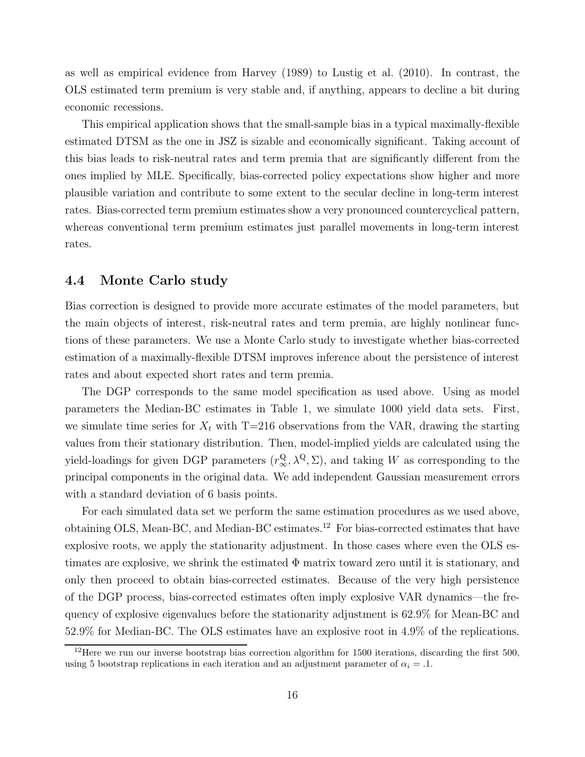as well as empirical evidence from Harvey (1989) to Lustig et al. (2010). In contrast, the OLS estimated term premium is very stable and, if anything, appears to decline a bit during economic recessions.

This empirical application shows that the small-sample bias in a typical maximally-flexible estimated DTSM as the one in JSZ is sizable and economically significant. Taking account of this bias leads to risk-neutral rates and term premia that are significantly different from the ones implied by MLE. Specifically, bias-corrected policy expectations show higher and more plausible variation and contribute to some extent to the secular decline in long-term interest rates. Bias-corrected term premium estimates show a very pronounced countercyclical pattern, whereas conventional term premium estimates just parallel movements in long-term interest rates.

#### 4.4 Monte Carlo study

Bias correction is designed to provide more accurate estimates of the model parameters, but the main objects of interest, risk-neutral rates and term premia, are highly nonlinear functions of these parameters. We use a Monte Carlo study to investigate whether bias-corrected estimation of a maximally-flexible DTSM improves inference about the persistence of interest rates and about expected short rates and term premia.

The DGP corresponds to the same model specification as used above. Using as model parameters the Median-BC estimates in Table 1, we simulate 1000 yield data sets. First, we simulate time series for  $X_t$  with T=216 observations from the VAR, drawing the starting values from their stationary distribution. Then, model-implied yields are calculated using the yield-loadings for given DGP parameters  $(r^{\mathbb{Q}}_{\infty}, \lambda^{\mathbb{Q}}, \Sigma)$ , and taking W as corresponding to the principal components in the original data. We add independent Gaussian measurement errors with a standard deviation of 6 basis points.

For each simulated data set we perform the same estimation procedures as we used above, obtaining OLS, Mean-BC, and Median-BC estimates.<sup>12</sup> For bias-corrected estimates that have explosive roots, we apply the stationarity adjustment. In those cases where even the OLS estimates are explosive, we shrink the estimated  $\Phi$  matrix toward zero until it is stationary, and only then proceed to obtain bias-corrected estimates. Because of the very high persistence of the DGP process, bias-corrected estimates often imply explosive VAR dynamics—the frequency of explosive eigenvalues before the stationarity adjustment is 62.9% for Mean-BC and 52.9% for Median-BC. The OLS estimates have an explosive root in 4.9% of the replications.

 $12$ Here we run our inverse bootstrap bias correction algorithm for 1500 iterations, discarding the first 500, using 5 bootstrap replications in each iteration and an adjustment parameter of  $\alpha_i = .1$ .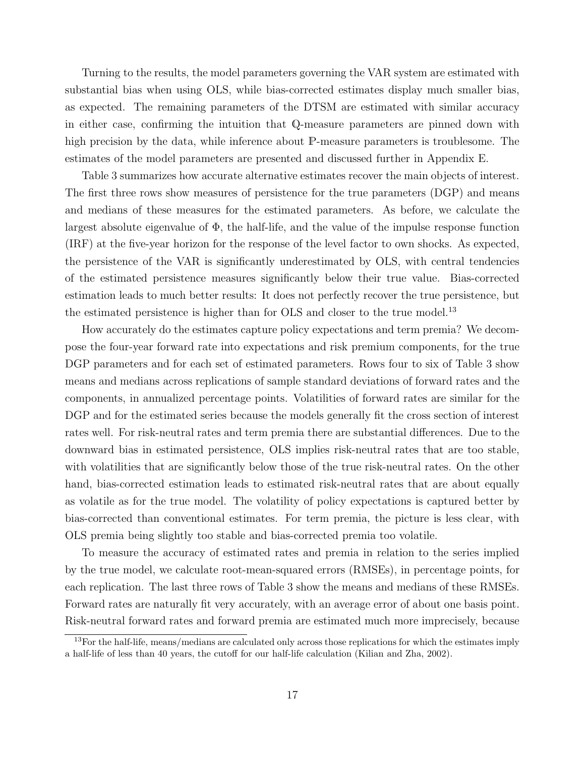Turning to the results, the model parameters governing the VAR system are estimated with substantial bias when using OLS, while bias-corrected estimates display much smaller bias, as expected. The remaining parameters of the DTSM are estimated with similar accuracy in either case, confirming the intuition that Q-measure parameters are pinned down with high precision by the data, while inference about P-measure parameters is troublesome. The estimates of the model parameters are presented and discussed further in Appendix E.

Table 3 summarizes how accurate alternative estimates recover the main objects of interest. The first three rows show measures of persistence for the true parameters (DGP) and means and medians of these measures for the estimated parameters. As before, we calculate the largest absolute eigenvalue of  $\Phi$ , the half-life, and the value of the impulse response function (IRF) at the five-year horizon for the response of the level factor to own shocks. As expected, the persistence of the VAR is significantly underestimated by OLS, with central tendencies of the estimated persistence measures significantly below their true value. Bias-corrected estimation leads to much better results: It does not perfectly recover the true persistence, but the estimated persistence is higher than for OLS and closer to the true model.<sup>13</sup>

How accurately do the estimates capture policy expectations and term premia? We decompose the four-year forward rate into expectations and risk premium components, for the true DGP parameters and for each set of estimated parameters. Rows four to six of Table 3 show means and medians across replications of sample standard deviations of forward rates and the components, in annualized percentage points. Volatilities of forward rates are similar for the DGP and for the estimated series because the models generally fit the cross section of interest rates well. For risk-neutral rates and term premia there are substantial differences. Due to the downward bias in estimated persistence, OLS implies risk-neutral rates that are too stable, with volatilities that are significantly below those of the true risk-neutral rates. On the other hand, bias-corrected estimation leads to estimated risk-neutral rates that are about equally as volatile as for the true model. The volatility of policy expectations is captured better by bias-corrected than conventional estimates. For term premia, the picture is less clear, with OLS premia being slightly too stable and bias-corrected premia too volatile.

To measure the accuracy of estimated rates and premia in relation to the series implied by the true model, we calculate root-mean-squared errors (RMSEs), in percentage points, for each replication. The last three rows of Table 3 show the means and medians of these RMSEs. Forward rates are naturally fit very accurately, with an average error of about one basis point. Risk-neutral forward rates and forward premia are estimated much more imprecisely, because

<sup>&</sup>lt;sup>13</sup>For the half-life, means/medians are calculated only across those replications for which the estimates imply a half-life of less than 40 years, the cutoff for our half-life calculation (Kilian and Zha, 2002).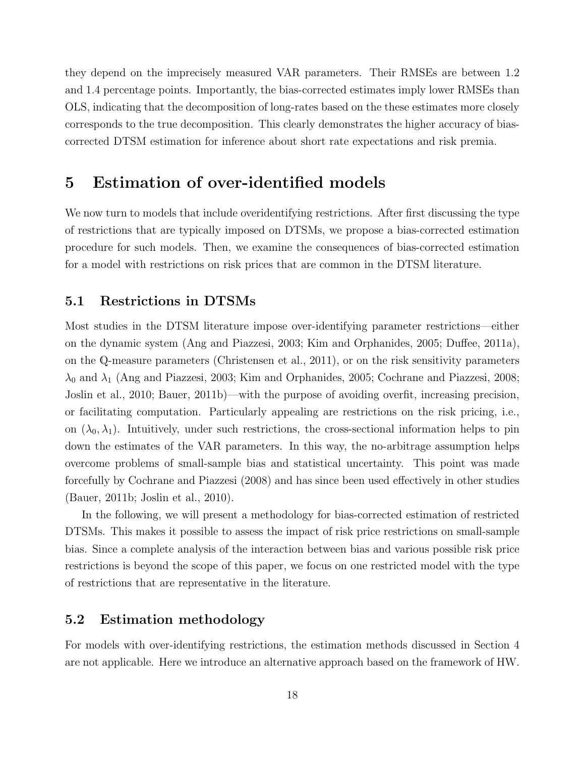they depend on the imprecisely measured VAR parameters. Their RMSEs are between 1.2 and 1.4 percentage points. Importantly, the bias-corrected estimates imply lower RMSEs than OLS, indicating that the decomposition of long-rates based on the these estimates more closely corresponds to the true decomposition. This clearly demonstrates the higher accuracy of biascorrected DTSM estimation for inference about short rate expectations and risk premia.

### 5 Estimation of over-identified models

We now turn to models that include overidentifying restrictions. After first discussing the type of restrictions that are typically imposed on DTSMs, we propose a bias-corrected estimation procedure for such models. Then, we examine the consequences of bias-corrected estimation for a model with restrictions on risk prices that are common in the DTSM literature.

#### 5.1 Restrictions in DTSMs

Most studies in the DTSM literature impose over-identifying parameter restrictions—either on the dynamic system (Ang and Piazzesi, 2003; Kim and Orphanides, 2005; Duffee, 2011a), on the Q-measure parameters (Christensen et al., 2011), or on the risk sensitivity parameters  $\lambda_0$  and  $\lambda_1$  (Ang and Piazzesi, 2003; Kim and Orphanides, 2005; Cochrane and Piazzesi, 2008; Joslin et al., 2010; Bauer, 2011b)—with the purpose of avoiding overfit, increasing precision, or facilitating computation. Particularly appealing are restrictions on the risk pricing, i.e., on  $(\lambda_0, \lambda_1)$ . Intuitively, under such restrictions, the cross-sectional information helps to pin down the estimates of the VAR parameters. In this way, the no-arbitrage assumption helps overcome problems of small-sample bias and statistical uncertainty. This point was made forcefully by Cochrane and Piazzesi (2008) and has since been used effectively in other studies (Bauer, 2011b; Joslin et al., 2010).

In the following, we will present a methodology for bias-corrected estimation of restricted DTSMs. This makes it possible to assess the impact of risk price restrictions on small-sample bias. Since a complete analysis of the interaction between bias and various possible risk price restrictions is beyond the scope of this paper, we focus on one restricted model with the type of restrictions that are representative in the literature.

#### 5.2 Estimation methodology

For models with over-identifying restrictions, the estimation methods discussed in Section 4 are not applicable. Here we introduce an alternative approach based on the framework of HW.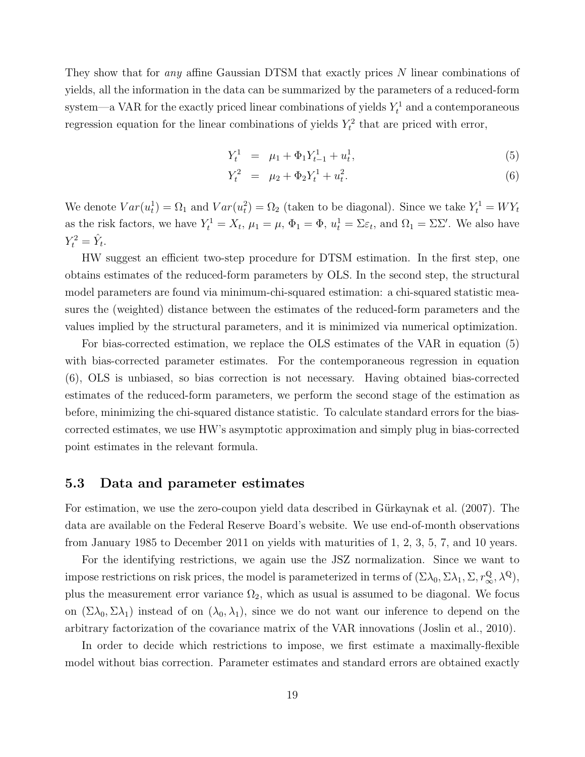They show that for *any* affine Gaussian DTSM that exactly prices N linear combinations of yields, all the information in the data can be summarized by the parameters of a reduced-form system—a VAR for the exactly priced linear combinations of yields  $Y_t^1$  and a contemporaneous regression equation for the linear combinations of yields  $Y_t^2$  that are priced with error,

$$
Y_t^1 = \mu_1 + \Phi_1 Y_{t-1}^1 + u_t^1, \tag{5}
$$

$$
Y_t^2 = \mu_2 + \Phi_2 Y_t^1 + u_t^2. \tag{6}
$$

We denote  $Var(u_t^1) = \Omega_1$  and  $Var(u_t^2) = \Omega_2$  (taken to be diagonal). Since we take  $Y_t^1 = WY_t$ as the risk factors, we have  $Y_t^1 = X_t$ ,  $\mu_1 = \mu$ ,  $\Phi_1 = \Phi$ ,  $u_t^1 = \Sigma \varepsilon_t$ , and  $\Omega_1 = \Sigma \Sigma'$ . We also have  $Y_t^2 = \hat{Y}_t.$ 

HW suggest an efficient two-step procedure for DTSM estimation. In the first step, one obtains estimates of the reduced-form parameters by OLS. In the second step, the structural model parameters are found via minimum-chi-squared estimation: a chi-squared statistic measures the (weighted) distance between the estimates of the reduced-form parameters and the values implied by the structural parameters, and it is minimized via numerical optimization.

For bias-corrected estimation, we replace the OLS estimates of the VAR in equation (5) with bias-corrected parameter estimates. For the contemporaneous regression in equation (6), OLS is unbiased, so bias correction is not necessary. Having obtained bias-corrected estimates of the reduced-form parameters, we perform the second stage of the estimation as before, minimizing the chi-squared distance statistic. To calculate standard errors for the biascorrected estimates, we use HW's asymptotic approximation and simply plug in bias-corrected point estimates in the relevant formula.

#### 5.3 Data and parameter estimates

For estimation, we use the zero-coupon yield data described in Gürkaynak et al. (2007). The data are available on the Federal Reserve Board's website. We use end-of-month observations from January 1985 to December 2011 on yields with maturities of 1, 2, 3, 5, 7, and 10 years.

For the identifying restrictions, we again use the JSZ normalization. Since we want to impose restrictions on risk prices, the model is parameterized in terms of  $(\Sigma \lambda_0, \Sigma \lambda_1, \Sigma, r_\infty^{\mathbb{Q}}, \lambda^{\mathbb{Q}})$ , plus the measurement error variance  $\Omega_2$ , which as usual is assumed to be diagonal. We focus on  $(\Sigma \lambda_0, \Sigma \lambda_1)$  instead of on  $(\lambda_0, \lambda_1)$ , since we do not want our inference to depend on the arbitrary factorization of the covariance matrix of the VAR innovations (Joslin et al., 2010).

In order to decide which restrictions to impose, we first estimate a maximally-flexible model without bias correction. Parameter estimates and standard errors are obtained exactly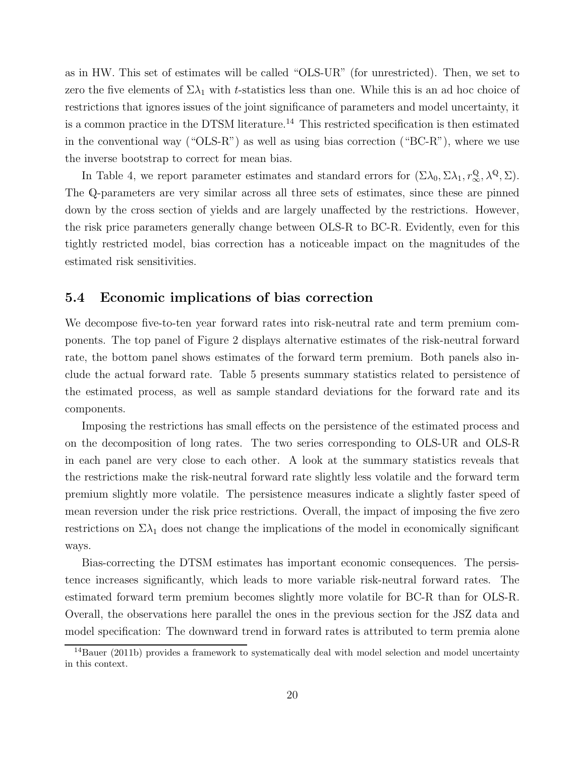as in HW. This set of estimates will be called "OLS-UR" (for unrestricted). Then, we set to zero the five elements of  $\Sigma\lambda_1$  with t-statistics less than one. While this is an ad hoc choice of restrictions that ignores issues of the joint significance of parameters and model uncertainty, it is a common practice in the DTSM literature.<sup>14</sup> This restricted specification is then estimated in the conventional way ("OLS-R") as well as using bias correction ("BC-R"), where we use the inverse bootstrap to correct for mean bias.

In Table 4, we report parameter estimates and standard errors for  $(\Sigma \lambda_0, \Sigma \lambda_1, r_\infty^{\mathbb{Q}}, \lambda^{\mathbb{Q}}, \Sigma)$ . The Q-parameters are very similar across all three sets of estimates, since these are pinned down by the cross section of yields and are largely unaffected by the restrictions. However, the risk price parameters generally change between OLS-R to BC-R. Evidently, even for this tightly restricted model, bias correction has a noticeable impact on the magnitudes of the estimated risk sensitivities.

#### 5.4 Economic implications of bias correction

We decompose five-to-ten year forward rates into risk-neutral rate and term premium components. The top panel of Figure 2 displays alternative estimates of the risk-neutral forward rate, the bottom panel shows estimates of the forward term premium. Both panels also include the actual forward rate. Table 5 presents summary statistics related to persistence of the estimated process, as well as sample standard deviations for the forward rate and its components.

Imposing the restrictions has small effects on the persistence of the estimated process and on the decomposition of long rates. The two series corresponding to OLS-UR and OLS-R in each panel are very close to each other. A look at the summary statistics reveals that the restrictions make the risk-neutral forward rate slightly less volatile and the forward term premium slightly more volatile. The persistence measures indicate a slightly faster speed of mean reversion under the risk price restrictions. Overall, the impact of imposing the five zero restrictions on  $\Sigma \lambda_1$  does not change the implications of the model in economically significant ways.

Bias-correcting the DTSM estimates has important economic consequences. The persistence increases significantly, which leads to more variable risk-neutral forward rates. The estimated forward term premium becomes slightly more volatile for BC-R than for OLS-R. Overall, the observations here parallel the ones in the previous section for the JSZ data and model specification: The downward trend in forward rates is attributed to term premia alone

 $14$ Bauer (2011b) provides a framework to systematically deal with model selection and model uncertainty in this context.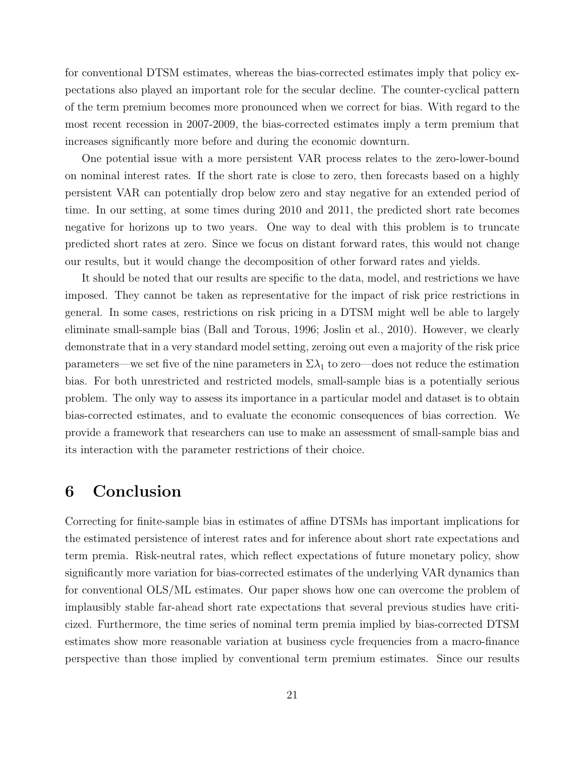for conventional DTSM estimates, whereas the bias-corrected estimates imply that policy expectations also played an important role for the secular decline. The counter-cyclical pattern of the term premium becomes more pronounced when we correct for bias. With regard to the most recent recession in 2007-2009, the bias-corrected estimates imply a term premium that increases significantly more before and during the economic downturn.

One potential issue with a more persistent VAR process relates to the zero-lower-bound on nominal interest rates. If the short rate is close to zero, then forecasts based on a highly persistent VAR can potentially drop below zero and stay negative for an extended period of time. In our setting, at some times during 2010 and 2011, the predicted short rate becomes negative for horizons up to two years. One way to deal with this problem is to truncate predicted short rates at zero. Since we focus on distant forward rates, this would not change our results, but it would change the decomposition of other forward rates and yields.

It should be noted that our results are specific to the data, model, and restrictions we have imposed. They cannot be taken as representative for the impact of risk price restrictions in general. In some cases, restrictions on risk pricing in a DTSM might well be able to largely eliminate small-sample bias (Ball and Torous, 1996; Joslin et al., 2010). However, we clearly demonstrate that in a very standard model setting, zeroing out even a majority of the risk price parameters—we set five of the nine parameters in  $\Sigma \lambda_1$  to zero—does not reduce the estimation bias. For both unrestricted and restricted models, small-sample bias is a potentially serious problem. The only way to assess its importance in a particular model and dataset is to obtain bias-corrected estimates, and to evaluate the economic consequences of bias correction. We provide a framework that researchers can use to make an assessment of small-sample bias and its interaction with the parameter restrictions of their choice.

### 6 Conclusion

Correcting for finite-sample bias in estimates of affine DTSMs has important implications for the estimated persistence of interest rates and for inference about short rate expectations and term premia. Risk-neutral rates, which reflect expectations of future monetary policy, show significantly more variation for bias-corrected estimates of the underlying VAR dynamics than for conventional OLS/ML estimates. Our paper shows how one can overcome the problem of implausibly stable far-ahead short rate expectations that several previous studies have criticized. Furthermore, the time series of nominal term premia implied by bias-corrected DTSM estimates show more reasonable variation at business cycle frequencies from a macro-finance perspective than those implied by conventional term premium estimates. Since our results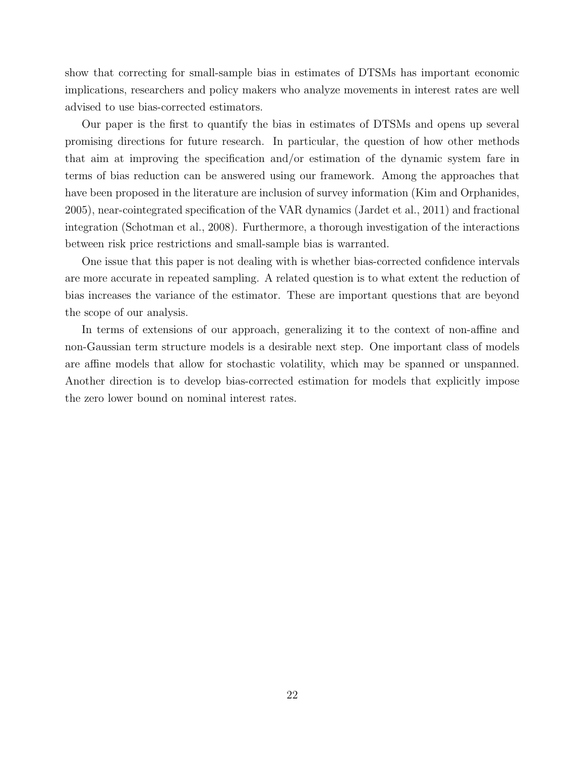show that correcting for small-sample bias in estimates of DTSMs has important economic implications, researchers and policy makers who analyze movements in interest rates are well advised to use bias-corrected estimators.

Our paper is the first to quantify the bias in estimates of DTSMs and opens up several promising directions for future research. In particular, the question of how other methods that aim at improving the specification and/or estimation of the dynamic system fare in terms of bias reduction can be answered using our framework. Among the approaches that have been proposed in the literature are inclusion of survey information (Kim and Orphanides, 2005), near-cointegrated specification of the VAR dynamics (Jardet et al., 2011) and fractional integration (Schotman et al., 2008). Furthermore, a thorough investigation of the interactions between risk price restrictions and small-sample bias is warranted.

One issue that this paper is not dealing with is whether bias-corrected confidence intervals are more accurate in repeated sampling. A related question is to what extent the reduction of bias increases the variance of the estimator. These are important questions that are beyond the scope of our analysis.

In terms of extensions of our approach, generalizing it to the context of non-affine and non-Gaussian term structure models is a desirable next step. One important class of models are affine models that allow for stochastic volatility, which may be spanned or unspanned. Another direction is to develop bias-corrected estimation for models that explicitly impose the zero lower bound on nominal interest rates.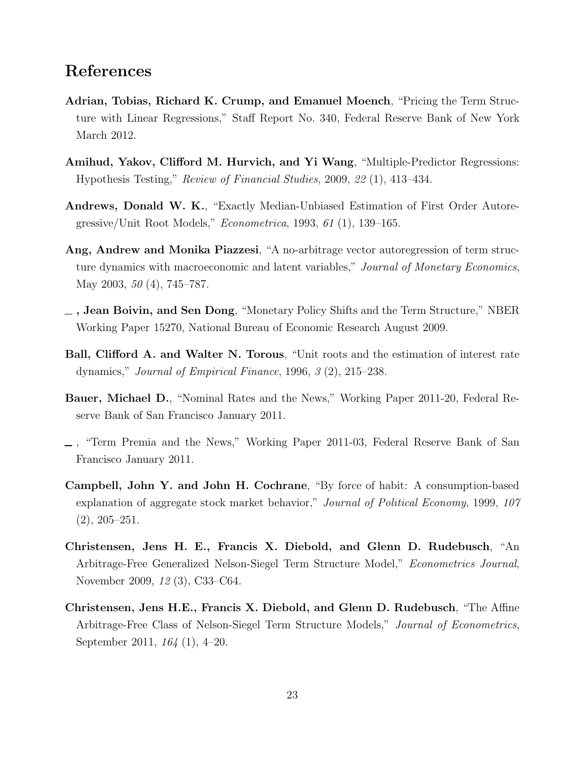### References

- Adrian, Tobias, Richard K. Crump, and Emanuel Moench, "Pricing the Term Structure with Linear Regressions," Staff Report No. 340, Federal Reserve Bank of New York March 2012.
- Amihud, Yakov, Clifford M. Hurvich, and Yi Wang, "Multiple-Predictor Regressions: Hypothesis Testing," Review of Financial Studies, 2009, 22 (1), 413–434.
- Andrews, Donald W. K., "Exactly Median-Unbiased Estimation of First Order Autoregressive/Unit Root Models," Econometrica, 1993, 61 (1), 139–165.
- Ang, Andrew and Monika Piazzesi, "A no-arbitrage vector autoregression of term structure dynamics with macroeconomic and latent variables," Journal of Monetary Economics, May 2003, 50 (4), 745–787.
- , Jean Boivin, and Sen Dong, "Monetary Policy Shifts and the Term Structure," NBER Working Paper 15270, National Bureau of Economic Research August 2009.
- Ball, Clifford A. and Walter N. Torous, "Unit roots and the estimation of interest rate dynamics," Journal of Empirical Finance, 1996, 3 (2), 215–238.
- Bauer, Michael D., "Nominal Rates and the News," Working Paper 2011-20, Federal Reserve Bank of San Francisco January 2011.
- , "Term Premia and the News," Working Paper 2011-03, Federal Reserve Bank of San Francisco January 2011.
- Campbell, John Y. and John H. Cochrane, "By force of habit: A consumption-based explanation of aggregate stock market behavior," Journal of Political Economy, 1999, 107 (2), 205–251.
- Christensen, Jens H. E., Francis X. Diebold, and Glenn D. Rudebusch, "An Arbitrage-Free Generalized Nelson-Siegel Term Structure Model," Econometrics Journal, November 2009, 12 (3), C33–C64.
- Christensen, Jens H.E., Francis X. Diebold, and Glenn D. Rudebusch, "The Affine Arbitrage-Free Class of Nelson-Siegel Term Structure Models," Journal of Econometrics, September 2011, 164 (1), 4–20.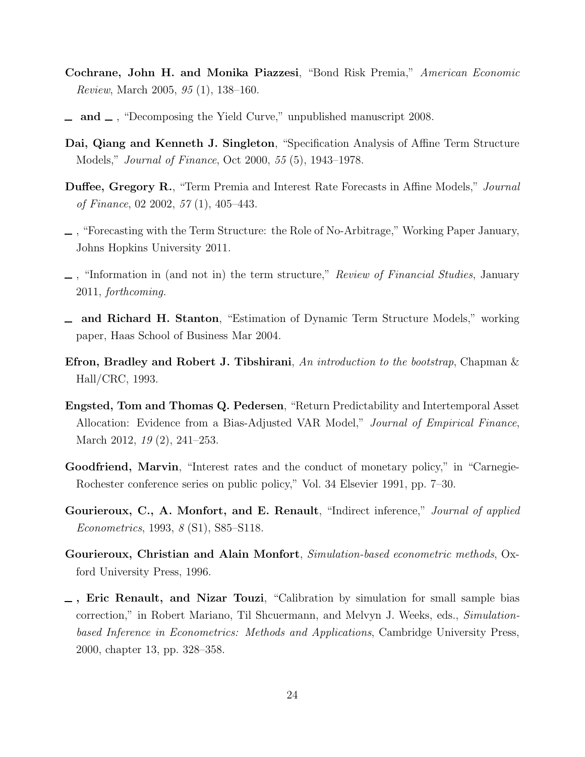- Cochrane, John H. and Monika Piazzesi, "Bond Risk Premia," American Economic Review, March 2005, 95 (1), 138–160.
- $\Box$  and  $\Box$ , "Decomposing the Yield Curve," unpublished manuscript 2008.
- Dai, Qiang and Kenneth J. Singleton, "Specification Analysis of Affine Term Structure Models," Journal of Finance, Oct 2000, 55 (5), 1943–1978.
- Duffee, Gregory R., "Term Premia and Interest Rate Forecasts in Affine Models," Journal of Finance, 02 2002, 57 (1), 405–443.
- , "Forecasting with the Term Structure: the Role of No-Arbitrage," Working Paper January, Johns Hopkins University 2011.
- $\Box$ , "Information in (and not in) the term structure," Review of Financial Studies, January 2011, forthcoming.
- and Richard H. Stanton, "Estimation of Dynamic Term Structure Models," working paper, Haas School of Business Mar 2004.
- Efron, Bradley and Robert J. Tibshirani, An introduction to the bootstrap, Chapman  $\&$ Hall/CRC, 1993.
- Engsted, Tom and Thomas Q. Pedersen, "Return Predictability and Intertemporal Asset Allocation: Evidence from a Bias-Adjusted VAR Model," Journal of Empirical Finance, March 2012, 19 (2), 241–253.
- Goodfriend, Marvin, "Interest rates and the conduct of monetary policy," in "Carnegie-Rochester conference series on public policy," Vol. 34 Elsevier 1991, pp. 7–30.
- Gourieroux, C., A. Monfort, and E. Renault, "Indirect inference," Journal of applied Econometrics, 1993, 8 (S1), S85–S118.
- Gourieroux, Christian and Alain Monfort, Simulation-based econometric methods, Oxford University Press, 1996.
- , Eric Renault, and Nizar Touzi, "Calibration by simulation for small sample bias correction," in Robert Mariano, Til Shcuermann, and Melvyn J. Weeks, eds., Simulationbased Inference in Econometrics: Methods and Applications, Cambridge University Press, 2000, chapter 13, pp. 328–358.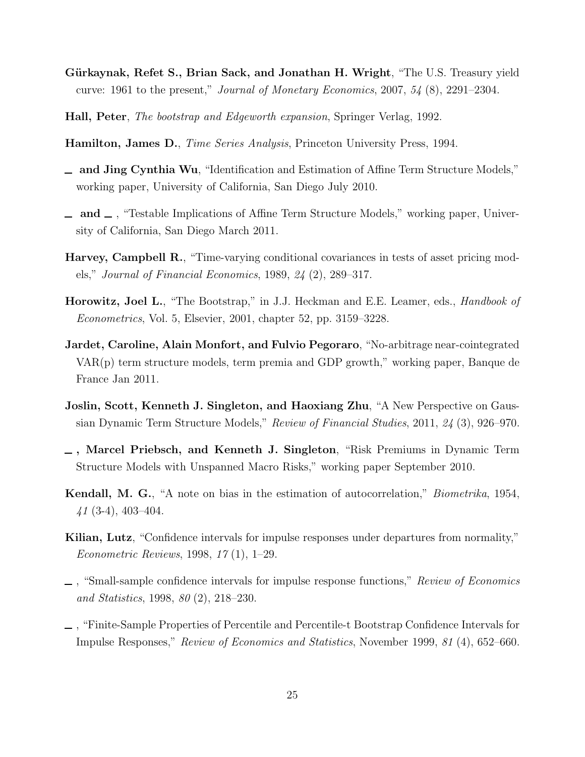- Gürkaynak, Refet S., Brian Sack, and Jonathan H. Wright, "The U.S. Treasury yield curve: 1961 to the present," Journal of Monetary Economics, 2007, 54 (8), 2291–2304.
- Hall, Peter, The bootstrap and Edgeworth expansion, Springer Verlag, 1992.
- Hamilton, James D., Time Series Analysis, Princeton University Press, 1994.
- and Jing Cynthia Wu, "Identification and Estimation of Affine Term Structure Models," working paper, University of California, San Diego July 2010.
- $\Box$  and  $\Box$ , "Testable Implications of Affine Term Structure Models," working paper, University of California, San Diego March 2011.
- Harvey, Campbell R., "Time-varying conditional covariances in tests of asset pricing models," Journal of Financial Economics, 1989, 24 (2), 289–317.
- Horowitz, Joel L., "The Bootstrap," in J.J. Heckman and E.E. Leamer, eds., *Handbook of* Econometrics, Vol. 5, Elsevier, 2001, chapter 52, pp. 3159–3228.
- Jardet, Caroline, Alain Monfort, and Fulvio Pegoraro, "No-arbitrage near-cointegrated VAR(p) term structure models, term premia and GDP growth," working paper, Banque de France Jan 2011.
- Joslin, Scott, Kenneth J. Singleton, and Haoxiang Zhu, "A New Perspective on Gaussian Dynamic Term Structure Models," Review of Financial Studies, 2011, 24 (3), 926–970.
- , Marcel Priebsch, and Kenneth J. Singleton, "Risk Premiums in Dynamic Term Structure Models with Unspanned Macro Risks," working paper September 2010.
- Kendall, M. G., "A note on bias in the estimation of autocorrelation," Biometrika, 1954,  $41$  (3-4), 403-404.
- Kilian, Lutz, "Confidence intervals for impulse responses under departures from normality," Econometric Reviews, 1998, 17 (1), 1–29.
- $\Box$ , "Small-sample confidence intervals for impulse response functions," Review of Economics and Statistics, 1998, 80 (2), 218–230.
- , "Finite-Sample Properties of Percentile and Percentile-t Bootstrap Confidence Intervals for Impulse Responses," Review of Economics and Statistics, November 1999, 81 (4), 652–660.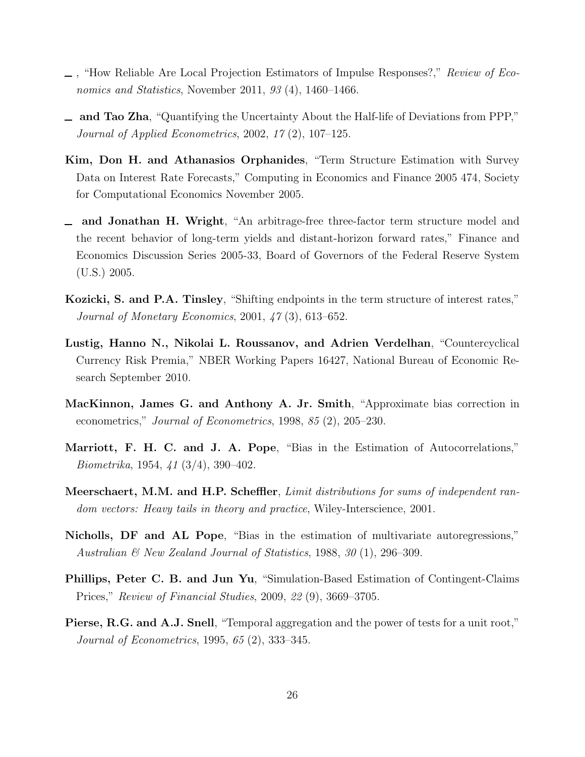- , "How Reliable Are Local Projection Estimators of Impulse Responses?," Review of Economics and Statistics, November 2011, 93 (4), 1460–1466.
- and Tao Zha, "Quantifying the Uncertainty About the Half-life of Deviations from PPP," Journal of Applied Econometrics, 2002, 17 (2), 107–125.
- Kim, Don H. and Athanasios Orphanides, "Term Structure Estimation with Survey Data on Interest Rate Forecasts," Computing in Economics and Finance 2005 474, Society for Computational Economics November 2005.
- and Jonathan H. Wright, "An arbitrage-free three-factor term structure model and the recent behavior of long-term yields and distant-horizon forward rates," Finance and Economics Discussion Series 2005-33, Board of Governors of the Federal Reserve System (U.S.) 2005.
- Kozicki, S. and P.A. Tinsley, "Shifting endpoints in the term structure of interest rates," Journal of Monetary Economics, 2001, 47 (3), 613–652.
- Lustig, Hanno N., Nikolai L. Roussanov, and Adrien Verdelhan, "Countercyclical Currency Risk Premia," NBER Working Papers 16427, National Bureau of Economic Research September 2010.
- MacKinnon, James G. and Anthony A. Jr. Smith, "Approximate bias correction in econometrics," Journal of Econometrics, 1998, 85 (2), 205–230.
- Marriott, F. H. C. and J. A. Pope, "Bias in the Estimation of Autocorrelations," Biometrika, 1954, 41 (3/4), 390–402.
- Meerschaert, M.M. and H.P. Scheffler, Limit distributions for sums of independent random vectors: Heavy tails in theory and practice, Wiley-Interscience, 2001.
- Nicholls, DF and AL Pope, "Bias in the estimation of multivariate autoregressions," Australian & New Zealand Journal of Statistics, 1988, 30 (1), 296–309.
- Phillips, Peter C. B. and Jun Yu, "Simulation-Based Estimation of Contingent-Claims Prices," Review of Financial Studies, 2009, 22 (9), 3669–3705.
- Pierse, R.G. and A.J. Snell, "Temporal aggregation and the power of tests for a unit root," Journal of Econometrics, 1995, 65 (2), 333–345.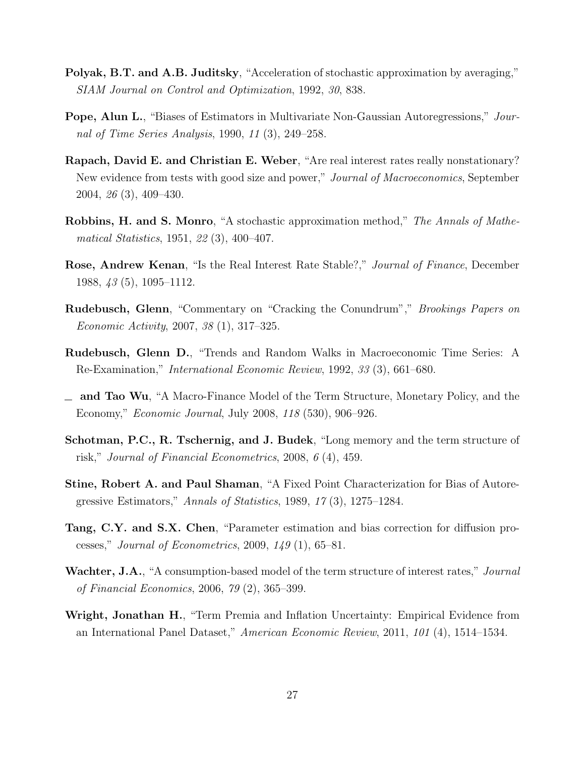- Polyak, B.T. and A.B. Juditsky, "Acceleration of stochastic approximation by averaging," SIAM Journal on Control and Optimization, 1992, 30, 838.
- Pope, Alun L., "Biases of Estimators in Multivariate Non-Gaussian Autoregressions," Journal of Time Series Analysis, 1990, 11 (3), 249–258.
- Rapach, David E. and Christian E. Weber, "Are real interest rates really nonstationary? New evidence from tests with good size and power," *Journal of Macroeconomics*, September 2004, 26 (3), 409–430.
- Robbins, H. and S. Monro, "A stochastic approximation method," The Annals of Mathematical Statistics, 1951, 22 (3), 400–407.
- Rose, Andrew Kenan, "Is the Real Interest Rate Stable?," Journal of Finance, December 1988, 43 (5), 1095–1112.
- Rudebusch, Glenn, "Commentary on "Cracking the Conundrum"," Brookings Papers on Economic Activity, 2007, 38 (1), 317–325.
- Rudebusch, Glenn D., "Trends and Random Walks in Macroeconomic Time Series: A Re-Examination," International Economic Review, 1992, 33 (3), 661–680.
- and Tao Wu, "A Macro-Finance Model of the Term Structure, Monetary Policy, and the Economy," Economic Journal, July 2008, 118 (530), 906–926.
- Schotman, P.C., R. Tschernig, and J. Budek, "Long memory and the term structure of risk," Journal of Financial Econometrics, 2008, 6 (4), 459.
- Stine, Robert A. and Paul Shaman, "A Fixed Point Characterization for Bias of Autoregressive Estimators," Annals of Statistics, 1989, 17 (3), 1275–1284.
- Tang, C.Y. and S.X. Chen, "Parameter estimation and bias correction for diffusion processes," *Journal of Econometrics*, 2009,  $149(1)$ , 65–81.
- Wachter, J.A., "A consumption-based model of the term structure of interest rates," Journal of Financial Economics, 2006, 79 (2), 365–399.
- Wright, Jonathan H., "Term Premia and Inflation Uncertainty: Empirical Evidence from an International Panel Dataset," American Economic Review, 2011, 101 (4), 1514–1534.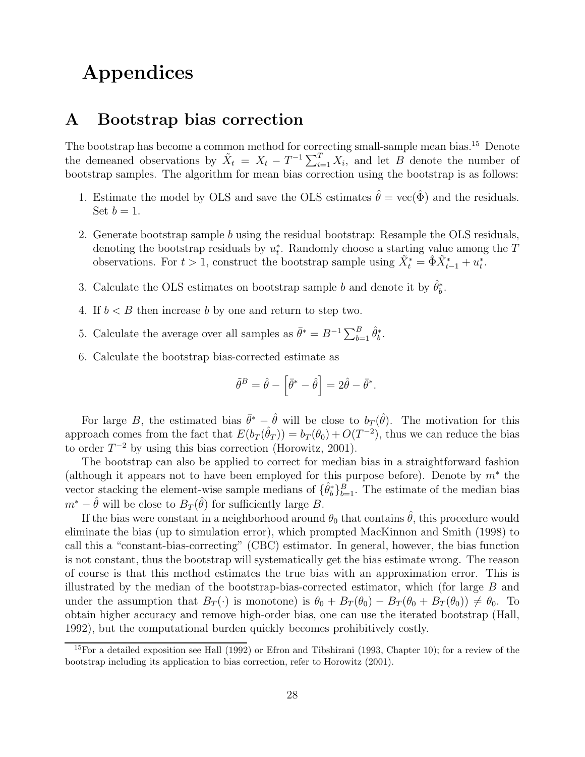# Appendices

### A Bootstrap bias correction

The bootstrap has become a common method for correcting small-sample mean bias.<sup>15</sup> Denote the demeaned observations by  $\tilde{X}_t = X_t - T^{-1} \sum_{i=1}^T X_i$ , and let B denote the number of bootstrap samples. The algorithm for mean bias correction using the bootstrap is as follows:

- 1. Estimate the model by OLS and save the OLS estimates  $\hat{\theta} = \text{vec}(\hat{\Phi})$  and the residuals. Set  $b=1$ .
- 2. Generate bootstrap sample b using the residual bootstrap: Resample the OLS residuals, denoting the bootstrap residuals by  $u_t^*$  $_{t}^{*}$ . Randomly choose a starting value among the T observations. For  $t > 1$ , construct the bootstrap sample using  $\tilde{X}_t^* = \hat{\Phi} \tilde{X}_{t-1}^* + u_t^*$  $\frac{*}{t}$ .
- 3. Calculate the OLS estimates on bootstrap sample b and denote it by  $\hat{\theta}_b^*$  $\frac{*}{b}$ .
- 4. If  $b < B$  then increase b by one and return to step two.
- 5. Calculate the average over all samples as  $\bar{\theta}^* = B^{-1} \sum_{b=1}^B \hat{\theta}_b^*$  $\frac{*}{b}$ .
- 6. Calculate the bootstrap bias-corrected estimate as

$$
\tilde{\theta}^B = \hat{\theta} - \left[\bar{\theta}^* - \hat{\theta}\right] = 2\hat{\theta} - \bar{\theta}^*.
$$

For large B, the estimated bias  $\bar{\theta}^* - \hat{\theta}$  will be close to  $b_T(\hat{\theta})$ . The motivation for this approach comes from the fact that  $E(b_T(\hat{\theta}_T)) = b_T(\theta_0) + O(T^{-2})$ , thus we can reduce the bias to order  $T^{-2}$  by using this bias correction (Horowitz, 2001).

The bootstrap can also be applied to correct for median bias in a straightforward fashion (although it appears not to have been employed for this purpose before). Denote by  $m^*$  the vector stacking the element-wise sample medians of  $\{\hat{\theta}_b^*\}$  $b<sub>b</sub><sup>B</sup>$ <sub>b<sup>-1</sup></sub>. The estimate of the median bias  $m^* - \hat{\theta}$  will be close to  $B_T(\hat{\theta})$  for sufficiently large B.

If the bias were constant in a neighborhood around  $\theta_0$  that contains  $\hat{\theta}$ , this procedure would eliminate the bias (up to simulation error), which prompted MacKinnon and Smith (1998) to call this a "constant-bias-correcting" (CBC) estimator. In general, however, the bias function is not constant, thus the bootstrap will systematically get the bias estimate wrong. The reason of course is that this method estimates the true bias with an approximation error. This is illustrated by the median of the bootstrap-bias-corrected estimator, which (for large  $B$  and under the assumption that  $B_T(\cdot)$  is monotone) is  $\theta_0 + B_T(\theta_0) - B_T(\theta_0 + B_T(\theta_0)) \neq \theta_0$ . To obtain higher accuracy and remove high-order bias, one can use the iterated bootstrap (Hall, 1992), but the computational burden quickly becomes prohibitively costly.

 $15$ For a detailed exposition see Hall (1992) or Efron and Tibshirani (1993, Chapter 10); for a review of the bootstrap including its application to bias correction, refer to Horowitz (2001).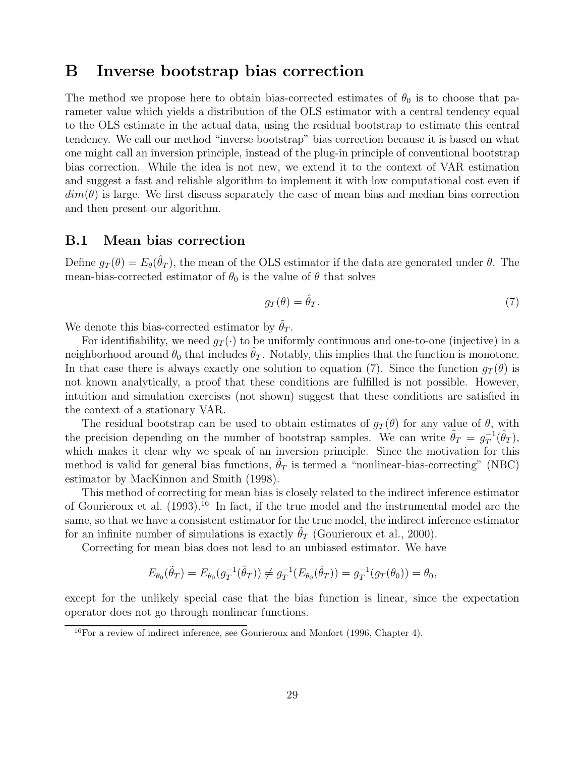### B Inverse bootstrap bias correction

The method we propose here to obtain bias-corrected estimates of  $\theta_0$  is to choose that parameter value which yields a distribution of the OLS estimator with a central tendency equal to the OLS estimate in the actual data, using the residual bootstrap to estimate this central tendency. We call our method "inverse bootstrap" bias correction because it is based on what one might call an inversion principle, instead of the plug-in principle of conventional bootstrap bias correction. While the idea is not new, we extend it to the context of VAR estimation and suggest a fast and reliable algorithm to implement it with low computational cost even if  $dim(\theta)$  is large. We first discuss separately the case of mean bias and median bias correction and then present our algorithm.

#### B.1 Mean bias correction

Define  $g_T(\theta) = E_{\theta}(\hat{\theta}_T)$ , the mean of the OLS estimator if the data are generated under  $\theta$ . The mean-bias-corrected estimator of  $\theta_0$  is the value of  $\theta$  that solves

$$
g_T(\theta) = \hat{\theta}_T. \tag{7}
$$

We denote this bias-corrected estimator by  $\tilde{\theta}_T$ .

For identifiability, we need  $g_T(\cdot)$  to be uniformly continuous and one-to-one (injective) in a neighborhood around  $\theta_0$  that includes  $\hat{\theta}_T$ . Notably, this implies that the function is monotone. In that case there is always exactly one solution to equation (7). Since the function  $g_T(\theta)$  is not known analytically, a proof that these conditions are fulfilled is not possible. However, intuition and simulation exercises (not shown) suggest that these conditions are satisfied in the context of a stationary VAR.

The residual bootstrap can be used to obtain estimates of  $g_T(\theta)$  for any value of  $\theta$ , with the precision depending on the number of bootstrap samples. We can write  $\tilde{\theta}_T = g_T^{-1}$  $^{-1}_T(\hat{\theta}_T),$ which makes it clear why we speak of an inversion principle. Since the motivation for this method is valid for general bias functions,  $\theta_T$  is termed a "nonlinear-bias-correcting" (NBC) estimator by MacKinnon and Smith (1998).

This method of correcting for mean bias is closely related to the indirect inference estimator of Gourieroux et al. (1993).<sup>16</sup> In fact, if the true model and the instrumental model are the same, so that we have a consistent estimator for the true model, the indirect inference estimator for an infinite number of simulations is exactly  $\theta_T$  (Gourieroux et al., 2000).

Correcting for mean bias does not lead to an unbiased estimator. We have

$$
E_{\theta_0}(\tilde{\theta}_T) = E_{\theta_0}(g_T^{-1}(\hat{\theta}_T)) \neq g_T^{-1}(E_{\theta_0}(\hat{\theta}_T)) = g_T^{-1}(g_T(\theta_0)) = \theta_0,
$$

except for the unlikely special case that the bias function is linear, since the expectation operator does not go through nonlinear functions.

<sup>16</sup>For a review of indirect inference, see Gourieroux and Monfort (1996, Chapter 4).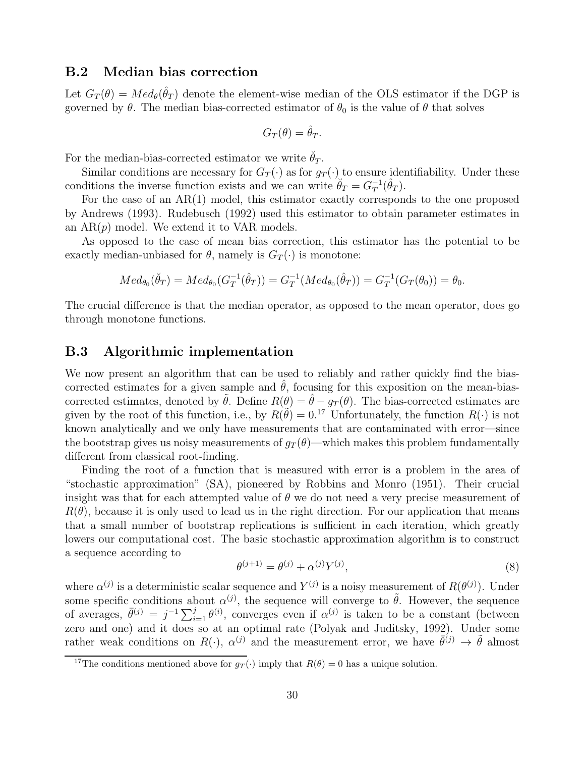#### B.2 Median bias correction

Let  $G_T(\theta) = Med_{\theta}(\hat{\theta}_T)$  denote the element-wise median of the OLS estimator if the DGP is governed by  $\theta$ . The median bias-corrected estimator of  $\theta_0$  is the value of  $\theta$  that solves

$$
G_T(\theta) = \hat{\theta}_T.
$$

For the median-bias-corrected estimator we write  $\check{\theta}_T$ .

Similar conditions are necessary for  $G_T(\cdot)$  as for  $g_T(\cdot)$  to ensure identifiability. Under these conditions the inverse function exists and we can write  $\breve{\theta}_T = G_T^{-1}$  $_{T}^{-1}(\hat{\theta}_T).$ 

For the case of an AR(1) model, this estimator exactly corresponds to the one proposed by Andrews (1993). Rudebusch (1992) used this estimator to obtain parameter estimates in an  $AR(p)$  model. We extend it to VAR models.

As opposed to the case of mean bias correction, this estimator has the potential to be exactly median-unbiased for  $\theta$ , namely is  $G_T(\cdot)$  is monotone:

$$
Med_{\theta_0}(\breve{\theta}_T) = Med_{\theta_0}(G_T^{-1}(\hat{\theta}_T)) = G_T^{-1}(Med_{\theta_0}(\hat{\theta}_T)) = G_T^{-1}(G_T(\theta_0)) = \theta_0.
$$

The crucial difference is that the median operator, as opposed to the mean operator, does go through monotone functions.

#### B.3 Algorithmic implementation

We now present an algorithm that can be used to reliably and rather quickly find the biascorrected estimates for a given sample and  $\theta$ , focusing for this exposition on the mean-biascorrected estimates, denoted by  $\hat{\theta}$ . Define  $R(\theta) = \hat{\theta} - g_T(\theta)$ . The bias-corrected estimates are given by the root of this function, i.e., by  $R(\tilde{\theta}) = 0.17$  Unfortunately, the function  $R(\cdot)$  is not known analytically and we only have measurements that are contaminated with error—since the bootstrap gives us noisy measurements of  $g_T(\theta)$ —which makes this problem fundamentally different from classical root-finding.

Finding the root of a function that is measured with error is a problem in the area of "stochastic approximation" (SA), pioneered by Robbins and Monro (1951). Their crucial insight was that for each attempted value of  $\theta$  we do not need a very precise measurement of  $R(\theta)$ , because it is only used to lead us in the right direction. For our application that means that a small number of bootstrap replications is sufficient in each iteration, which greatly lowers our computational cost. The basic stochastic approximation algorithm is to construct a sequence according to

$$
\theta^{(j+1)} = \theta^{(j)} + \alpha^{(j)} Y^{(j)},\tag{8}
$$

where  $\alpha^{(j)}$  is a deterministic scalar sequence and  $Y^{(j)}$  is a noisy measurement of  $R(\theta^{(j)})$ . Under some specific conditions about  $\alpha^{(j)}$ , the sequence will converge to  $\tilde{\theta}$ . However, the sequence of averages,  $\bar{\theta}^{(j)} = j^{-1} \sum_{i=1}^j \theta^{(i)}$ , converges even if  $\alpha^{(j)}$  is taken to be a constant (between zero and one) and it does so at an optimal rate (Polyak and Juditsky, 1992). Under some rather weak conditions on  $R(\cdot)$ ,  $\alpha^{(j)}$  and the measurement error, we have  $\bar{\theta}^{(j)} \to \tilde{\theta}$  almost

<sup>&</sup>lt;sup>17</sup>The conditions mentioned above for  $g_T(\cdot)$  imply that  $R(\theta) = 0$  has a unique solution.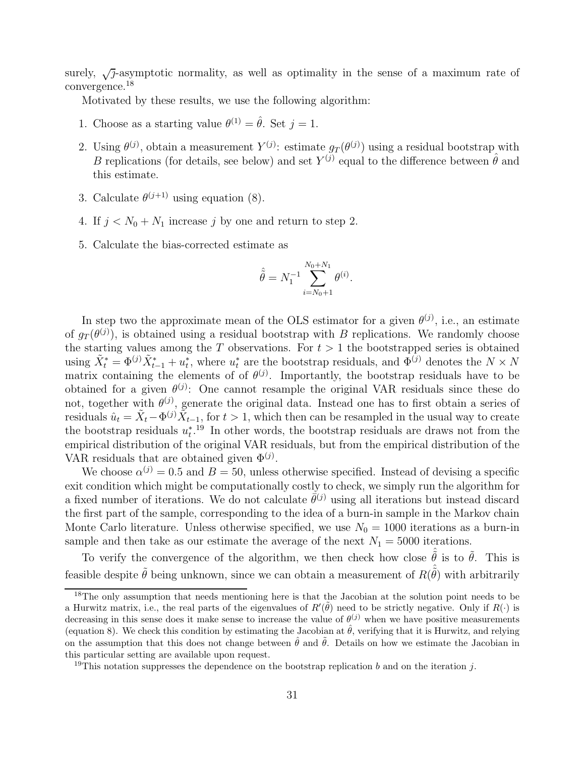surely,  $\sqrt{j}$ -asymptotic normality, as well as optimality in the sense of a maximum rate of convergence.<sup>18</sup>

Motivated by these results, we use the following algorithm:

- 1. Choose as a starting value  $\theta^{(1)} = \hat{\theta}$ . Set  $j = 1$ .
- 2. Using  $\theta^{(j)}$ , obtain a measurement  $Y^{(j)}$ : estimate  $g_T(\theta^{(j)})$  using a residual bootstrap with B replications (for details, see below) and set  $Y^{(j)}$  equal to the difference between  $\hat{\theta}$  and this estimate.
- 3. Calculate  $\theta^{(j+1)}$  using equation (8).
- 4. If  $j < N_0 + N_1$  increase j by one and return to step 2.
- 5. Calculate the bias-corrected estimate as

$$
\hat{\tilde{\theta}} = N_1^{-1} \sum_{i=N_0+1}^{N_0+N_1} \theta^{(i)}.
$$

In step two the approximate mean of the OLS estimator for a given  $\theta^{(j)}$ , i.e., an estimate of  $g_T(\theta^{(j)})$ , is obtained using a residual bootstrap with B replications. We randomly choose the starting values among the T observations. For  $t > 1$  the bootstrapped series is obtained using  $\tilde{X}_t^* = \Phi^{(j)} \tilde{X}_{t-1}^* + u_t^*$ \*, where  $u_t^*$  are the bootstrap residuals, and  $\Phi^{(j)}$  denotes the  $N \times N$ matrix containing the elements of of  $\theta^{(j)}$ . Importantly, the bootstrap residuals have to be obtained for a given  $\theta^{(j)}$ : One cannot resample the original VAR residuals since these do not, together with  $\theta^{(j)}$ , generate the original data. Instead one has to first obtain a series of residuals  $\hat{u}_t = \tilde{X}_t - \Phi^{(j)} \tilde{X}_{t-1}$ , for  $t > 1$ , which then can be resampled in the usual way to create the bootstrap residuals  $u_t^*$  $t^{19}$  In other words, the bootstrap residuals are draws not from the empirical distribution of the original VAR residuals, but from the empirical distribution of the VAR residuals that are obtained given  $\Phi^{(j)}$ .

We choose  $\alpha^{(j)} = 0.5$  and  $B = 50$ , unless otherwise specified. Instead of devising a specific exit condition which might be computationally costly to check, we simply run the algorithm for a fixed number of iterations. We do not calculate  $\bar{\theta}^{(j)}$  using all iterations but instead discard the first part of the sample, corresponding to the idea of a burn-in sample in the Markov chain Monte Carlo literature. Unless otherwise specified, we use  $N_0 = 1000$  iterations as a burn-in sample and then take as our estimate the average of the next  $N_1 = 5000$  iterations.

To verify the convergence of the algorithm, we then check how close  $\hat{\tilde{\theta}}$  is to  $\tilde{\theta}$ . This is feasible despite  $\tilde{\theta}$  being unknown, since we can obtain a measurement of  $R(\hat{\tilde{\theta}})$  with arbitrarily

<sup>&</sup>lt;sup>18</sup>The only assumption that needs mentioning here is that the Jacobian at the solution point needs to be a Hurwitz matrix, i.e., the real parts of the eigenvalues of  $R'(\tilde{\theta})$  need to be strictly negative. Only if  $R(\cdot)$  is decreasing in this sense does it make sense to increase the value of  $\theta^{(j)}$  when we have positive measurements (equation 8). We check this condition by estimating the Jacobian at  $\hat{\theta}$ , verifying that it is Hurwitz, and relying on the assumption that this does not change between  $\hat{\theta}$  and  $\tilde{\theta}$ . Details on how we estimate the Jacobian in this particular setting are available upon request.

<sup>&</sup>lt;sup>19</sup>This notation suppresses the dependence on the bootstrap replication b and on the iteration j.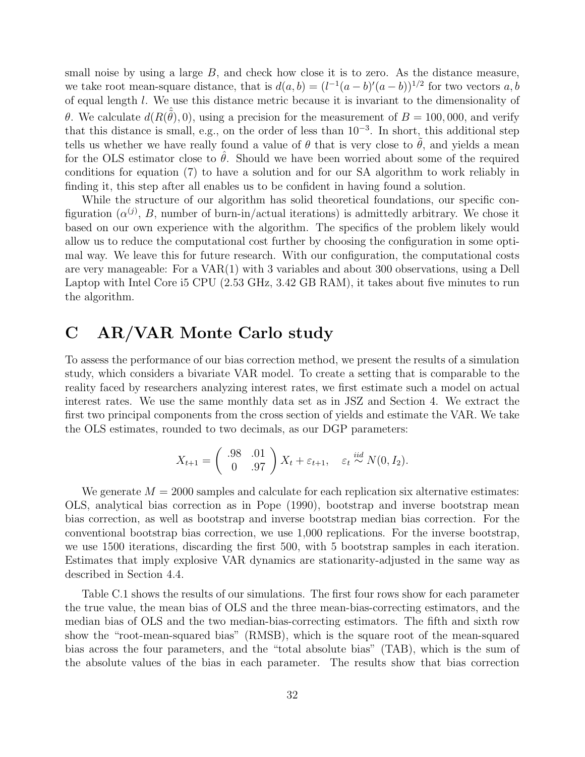small noise by using a large  $B$ , and check how close it is to zero. As the distance measure, we take root mean-square distance, that is  $d(a, b) = (l^{-1}(a - b)'(a - b))^{1/2}$  for two vectors a, b of equal length l. We use this distance metric because it is invariant to the dimensionality of θ. We calculate  $d(R(\hat{\theta}), 0)$ , using a precision for the measurement of  $B = 100,000$ , and verify that this distance is small, e.g., on the order of less than  $10^{-3}$ . In short, this additional step tells us whether we have really found a value of  $\theta$  that is very close to  $\theta$ , and yields a mean for the OLS estimator close to  $\hat{\theta}$ . Should we have been worried about some of the required conditions for equation (7) to have a solution and for our SA algorithm to work reliably in finding it, this step after all enables us to be confident in having found a solution.

While the structure of our algorithm has solid theoretical foundations, our specific configuration  $(\alpha^{(j)}, B$ , number of burn-in/actual iterations) is admittedly arbitrary. We chose it based on our own experience with the algorithm. The specifics of the problem likely would allow us to reduce the computational cost further by choosing the configuration in some optimal way. We leave this for future research. With our configuration, the computational costs are very manageable: For a VAR(1) with 3 variables and about 300 observations, using a Dell Laptop with Intel Core i5 CPU (2.53 GHz, 3.42 GB RAM), it takes about five minutes to run the algorithm.

### C AR/VAR Monte Carlo study

To assess the performance of our bias correction method, we present the results of a simulation study, which considers a bivariate VAR model. To create a setting that is comparable to the reality faced by researchers analyzing interest rates, we first estimate such a model on actual interest rates. We use the same monthly data set as in JSZ and Section 4. We extract the first two principal components from the cross section of yields and estimate the VAR. We take the OLS estimates, rounded to two decimals, as our DGP parameters:

$$
X_{t+1} = \begin{pmatrix} .98 & .01 \\ 0 & .97 \end{pmatrix} X_t + \varepsilon_{t+1}, \quad \varepsilon_t \stackrel{iid}{\sim} N(0, I_2).
$$

We generate  $M = 2000$  samples and calculate for each replication six alternative estimates: OLS, analytical bias correction as in Pope (1990), bootstrap and inverse bootstrap mean bias correction, as well as bootstrap and inverse bootstrap median bias correction. For the conventional bootstrap bias correction, we use 1,000 replications. For the inverse bootstrap, we use 1500 iterations, discarding the first 500, with 5 bootstrap samples in each iteration. Estimates that imply explosive VAR dynamics are stationarity-adjusted in the same way as described in Section 4.4.

Table C.1 shows the results of our simulations. The first four rows show for each parameter the true value, the mean bias of OLS and the three mean-bias-correcting estimators, and the median bias of OLS and the two median-bias-correcting estimators. The fifth and sixth row show the "root-mean-squared bias" (RMSB), which is the square root of the mean-squared bias across the four parameters, and the "total absolute bias" (TAB), which is the sum of the absolute values of the bias in each parameter. The results show that bias correction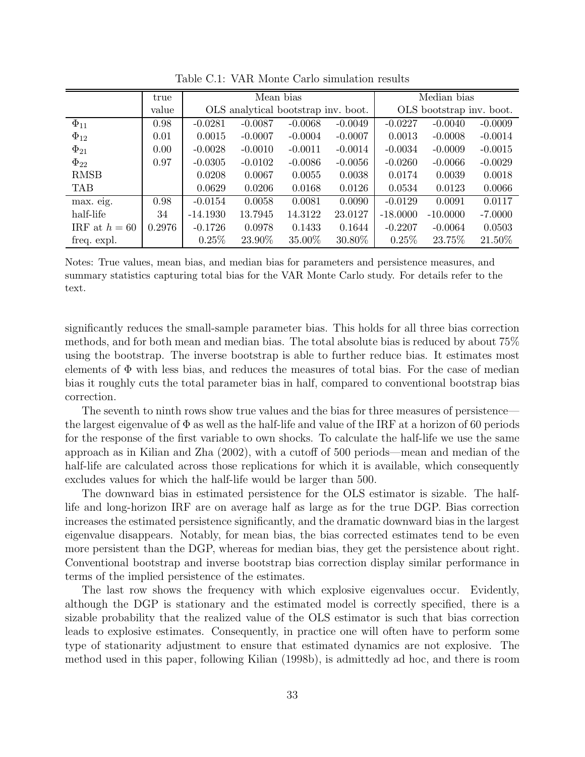|                 | true   |            | Mean bias |                                     | Median bias |            |                          |           |
|-----------------|--------|------------|-----------|-------------------------------------|-------------|------------|--------------------------|-----------|
|                 | value  |            |           | OLS analytical bootstrap inv. boot. |             |            | OLS bootstrap inv. boot. |           |
| $\Phi_{11}$     | 0.98   | $-0.0281$  | $-0.0087$ | $-0.0068$                           | $-0.0049$   | $-0.0227$  | $-0.0040$                | $-0.0009$ |
| $\Phi_{12}$     | 0.01   | 0.0015     | $-0.0007$ | $-0.0004$                           | $-0.0007$   | 0.0013     | $-0.0008$                | $-0.0014$ |
| $\Phi_{21}$     | 0.00   | $-0.0028$  | $-0.0010$ | $-0.0011$                           | $-0.0014$   | $-0.0034$  | $-0.0009$                | $-0.0015$ |
| $\Phi_{22}$     | 0.97   | $-0.0305$  | $-0.0102$ | $-0.0086$                           | $-0.0056$   | $-0.0260$  | $-0.0066$                | $-0.0029$ |
| <b>RMSB</b>     |        | 0.0208     | 0.0067    | 0.0055                              | 0.0038      | 0.0174     | 0.0039                   | 0.0018    |
| <b>TAB</b>      |        | 0.0629     | 0.0206    | 0.0168                              | 0.0126      | 0.0534     | 0.0123                   | 0.0066    |
| max. eig.       | 0.98   | $-0.0154$  | 0.0058    | 0.0081                              | 0.0090      | $-0.0129$  | 0.0091                   | 0.0117    |
| half-life       | 34     | $-14.1930$ | 13.7945   | 14.3122                             | 23.0127     | $-18.0000$ | $-10.0000$               | $-7.0000$ |
| IRF at $h = 60$ | 0.2976 | $-0.1726$  | 0.0978    | 0.1433                              | 0.1644      | $-0.2207$  | $-0.0064$                | 0.0503    |
| freq. expl.     |        | 0.25%      | 23.90\%   | 35.00%                              | 30.80\%     | $0.25\%$   | 23.75\%                  | 21.50%    |

Table C.1: VAR Monte Carlo simulation results

Notes: True values, mean bias, and median bias for parameters and persistence measures, and summary statistics capturing total bias for the VAR Monte Carlo study. For details refer to the text.

significantly reduces the small-sample parameter bias. This holds for all three bias correction methods, and for both mean and median bias. The total absolute bias is reduced by about 75% using the bootstrap. The inverse bootstrap is able to further reduce bias. It estimates most elements of  $\Phi$  with less bias, and reduces the measures of total bias. For the case of median bias it roughly cuts the total parameter bias in half, compared to conventional bootstrap bias correction.

The seventh to ninth rows show true values and the bias for three measures of persistence the largest eigenvalue of  $\Phi$  as well as the half-life and value of the IRF at a horizon of 60 periods for the response of the first variable to own shocks. To calculate the half-life we use the same approach as in Kilian and Zha (2002), with a cutoff of 500 periods—mean and median of the half-life are calculated across those replications for which it is available, which consequently excludes values for which the half-life would be larger than 500.

The downward bias in estimated persistence for the OLS estimator is sizable. The halflife and long-horizon IRF are on average half as large as for the true DGP. Bias correction increases the estimated persistence significantly, and the dramatic downward bias in the largest eigenvalue disappears. Notably, for mean bias, the bias corrected estimates tend to be even more persistent than the DGP, whereas for median bias, they get the persistence about right. Conventional bootstrap and inverse bootstrap bias correction display similar performance in terms of the implied persistence of the estimates.

The last row shows the frequency with which explosive eigenvalues occur. Evidently, although the DGP is stationary and the estimated model is correctly specified, there is a sizable probability that the realized value of the OLS estimator is such that bias correction leads to explosive estimates. Consequently, in practice one will often have to perform some type of stationarity adjustment to ensure that estimated dynamics are not explosive. The method used in this paper, following Kilian (1998b), is admittedly ad hoc, and there is room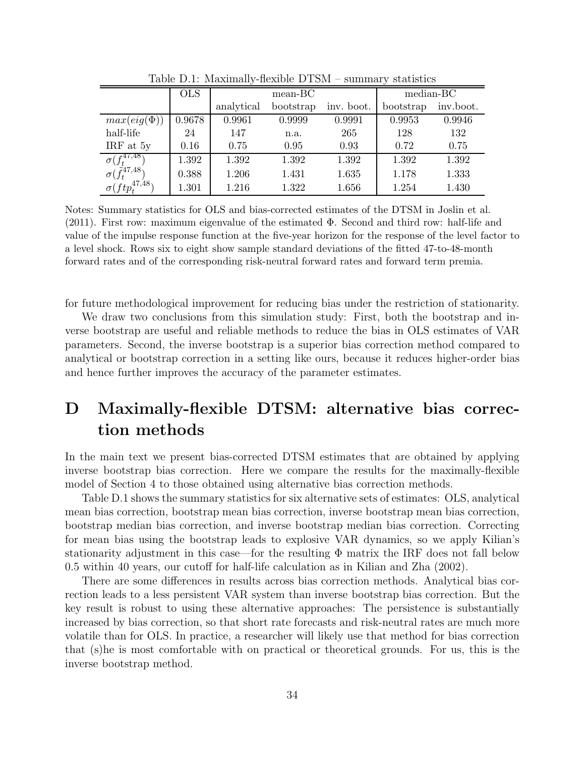|                                                   | <b>OLS</b> |            | $mean-BC$ | median-BC  |           |           |
|---------------------------------------------------|------------|------------|-----------|------------|-----------|-----------|
|                                                   |            | analytical | bootstrap | inv. boot. | bootstrap | inv.boot. |
| $max(eig(\Phi))$                                  | 0.9678     | 0.9961     | 0.9999    | 0.9991     | 0.9953    | 0.9946    |
| half-life                                         | 24         | 147        | n.a.      | 265        | 128       | 132       |
| IRF at $5y$                                       | 0.16       | 0.75       | 0.95      | 0.93       | 0.72      | 0.75      |
| $\sigma(f^{47,48})$                               | 1.392      | 1.392      | 1.392     | 1.392      | 1.392     | 1.392     |
| $\sigma(\tilde{f}_t^{47,48})$                     | 0.388      | 1.206      | 1.431     | 1.635      | 1.178     | 1.333     |
| $\sigma (ftp_{\scriptscriptstyle \sf F}^{47,48})$ | 1.301      | 1.216      | 1.322     | 1.656      | 1.254     | 1.430     |

Table D.1: Maximally-flexible DTSM – summary statistics

Notes: Summary statistics for OLS and bias-corrected estimates of the DTSM in Joslin et al. (2011). First row: maximum eigenvalue of the estimated Φ. Second and third row: half-life and value of the impulse response function at the five-year horizon for the response of the level factor to a level shock. Rows six to eight show sample standard deviations of the fitted 47-to-48-month forward rates and of the corresponding risk-neutral forward rates and forward term premia.

for future methodological improvement for reducing bias under the restriction of stationarity.

We draw two conclusions from this simulation study: First, both the bootstrap and inverse bootstrap are useful and reliable methods to reduce the bias in OLS estimates of VAR parameters. Second, the inverse bootstrap is a superior bias correction method compared to analytical or bootstrap correction in a setting like ours, because it reduces higher-order bias and hence further improves the accuracy of the parameter estimates.

## D Maximally-flexible DTSM: alternative bias correction methods

In the main text we present bias-corrected DTSM estimates that are obtained by applying inverse bootstrap bias correction. Here we compare the results for the maximally-flexible model of Section 4 to those obtained using alternative bias correction methods.

Table D.1 shows the summary statistics for six alternative sets of estimates: OLS, analytical mean bias correction, bootstrap mean bias correction, inverse bootstrap mean bias correction, bootstrap median bias correction, and inverse bootstrap median bias correction. Correcting for mean bias using the bootstrap leads to explosive VAR dynamics, so we apply Kilian's stationarity adjustment in this case—for the resulting  $\Phi$  matrix the IRF does not fall below 0.5 within 40 years, our cutoff for half-life calculation as in Kilian and Zha (2002).

There are some differences in results across bias correction methods. Analytical bias correction leads to a less persistent VAR system than inverse bootstrap bias correction. But the key result is robust to using these alternative approaches: The persistence is substantially increased by bias correction, so that short rate forecasts and risk-neutral rates are much more volatile than for OLS. In practice, a researcher will likely use that method for bias correction that (s)he is most comfortable with on practical or theoretical grounds. For us, this is the inverse bootstrap method.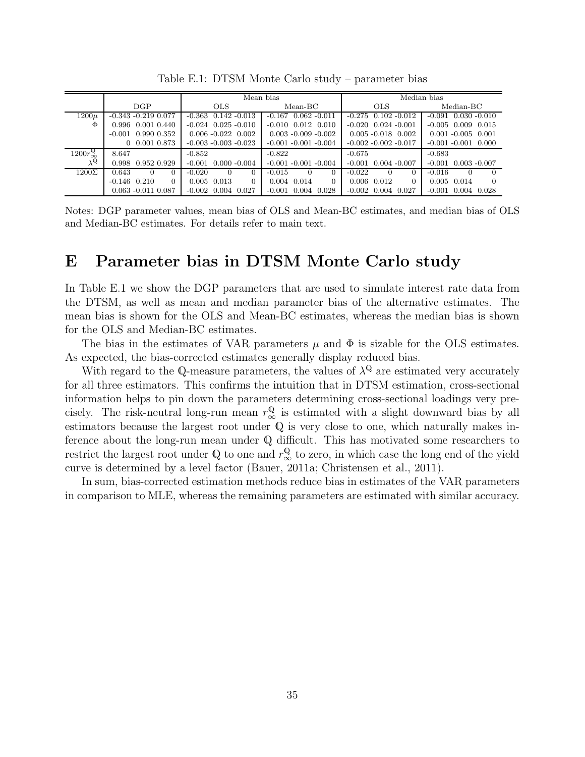|                               |                               |                                  | Mean bias                        | Median bias                 |                             |  |
|-------------------------------|-------------------------------|----------------------------------|----------------------------------|-----------------------------|-----------------------------|--|
|                               | DGP                           | <b>OLS</b>                       | $Mean-BC$                        | <b>OLS</b>                  | Median-BC                   |  |
| $1200\mu$                     | $-0.343 - 0.219$ 0.077        | $-0.363$ $0.142$ $-0.013$        | $-0.167$ $0.062$ $-0.011$        | $-0.275$ 0.102 $-0.012$     | $-0.091$ $0.030$ $-0.010$   |  |
| Ф                             | 0.996 0.001 0.440             | $-0.024$ 0.025 $-0.010$          | $-0.010$ $0.012$ $0.010$         | $-0.020$ $0.024$ $-0.001$   | $-0.005$ 0.009 0.015        |  |
|                               | $-0.001$ 0.990 0.352          | $0.006 - 0.022$ 0.002            | $0.003 - 0.009 - 0.002$          | $0.005 - 0.018$ 0.002       | $0.001 - 0.005$ 0.001       |  |
|                               | $0$ 0.001 0.873               | $-0.003 - 0.003 - 0.023$         | $-0.001 - 0.001 - 0.004$         | $-0.002 - 0.002 - 0.017$    | $-0.001 - 0.001$ 0.000      |  |
| $1200r^{\mathbb{Q}}_{\infty}$ | 8.647                         | $-0.852$                         | $-0.822$                         | $-0.675$                    | $-0.683$                    |  |
| $\lambda^{\mathbb{Q}}$        | 0.998 0.952 0.929             | $-0.001$<br>$0.000 - 0.004$      | $-0.001 - 0.001 - 0.004$         | $-0.001$<br>$0.004 - 0.007$ | $-0.001$<br>$0.003 - 0.007$ |  |
| $1200\Sigma$                  | 0.643<br>$\Omega$<br>$\theta$ | $-0.020$<br>$\Omega$<br>$\Omega$ | $-0.015$<br>$\Omega$<br>$\theta$ | $-0.022$                    | $-0.016$<br>$\Omega$        |  |
|                               | $-0.146$ $0.210$<br>$\Omega$  | $0.005$ 0.013<br>$\Omega$        | 0.004 0.014<br>$\Omega$          | 0.006 0.012<br>$\Omega$     | 0.005 0.014<br>$\Omega$     |  |
|                               | $0.063 - 0.011$ $0.087$       | $-0.002$ 0.004 0.027             | $-0.001$ $0.004$ $0.028$         | $-0.002$<br>0.004<br>0.027  | $-0.001$<br>0.004<br>0.028  |  |

Table E.1: DTSM Monte Carlo study – parameter bias

Notes: DGP parameter values, mean bias of OLS and Mean-BC estimates, and median bias of OLS and Median-BC estimates. For details refer to main text.

### E Parameter bias in DTSM Monte Carlo study

In Table E.1 we show the DGP parameters that are used to simulate interest rate data from the DTSM, as well as mean and median parameter bias of the alternative estimates. The mean bias is shown for the OLS and Mean-BC estimates, whereas the median bias is shown for the OLS and Median-BC estimates.

The bias in the estimates of VAR parameters  $\mu$  and  $\Phi$  is sizable for the OLS estimates. As expected, the bias-corrected estimates generally display reduced bias.

With regard to the Q-measure parameters, the values of  $\lambda^{\mathbb{Q}}$  are estimated very accurately for all three estimators. This confirms the intuition that in DTSM estimation, cross-sectional information helps to pin down the parameters determining cross-sectional loadings very precisely. The risk-neutral long-run mean  $r^{\mathbb{Q}}_{\infty}$  is estimated with a slight downward bias by all estimators because the largest root under Q is very close to one, which naturally makes inference about the long-run mean under Q difficult. This has motivated some researchers to restrict the largest root under Q to one and  $r^{\mathbb{Q}}_{\infty}$  to zero, in which case the long end of the yield curve is determined by a level factor (Bauer, 2011a; Christensen et al., 2011).

In sum, bias-corrected estimation methods reduce bias in estimates of the VAR parameters in comparison to MLE, whereas the remaining parameters are estimated with similar accuracy.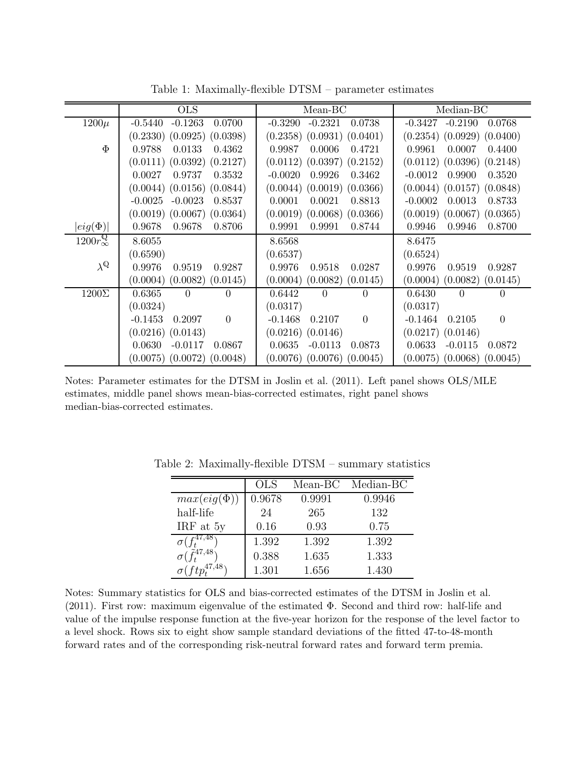|                               | <b>OLS</b>                        | $Mean-BC$                        | Median-BC                         |
|-------------------------------|-----------------------------------|----------------------------------|-----------------------------------|
| $1200\mu$                     | $-0.1263$                         | $-0.2321$                        | $-0.2190$                         |
|                               | 0.0700                            | 0.0738                           | $-0.3427$                         |
|                               | $-0.5440$                         | $-0.3290$                        | 0.0768                            |
|                               | $(0.2330)$ $(0.0925)$ $(0.0398)$  | $(0.2358)$ $(0.0931)$ $(0.0401)$ | $(0.2354)$ $(0.0929)$ $(0.0400)$  |
| $\Phi$                        | 0.9788                            | 0.0006                           | 0.9961                            |
|                               | 0.0133                            | 0.9987                           | 0.0007                            |
|                               | 0.4362                            | 0.4721                           | 0.4400                            |
|                               | $(0.0111)$ $(0.0392)$ $(0.2127)$  | $(0.0112)$ $(0.0397)$ $(0.2152)$ | $(0.0112)$ $(0.0396)$ $(0.2148)$  |
|                               | 0.0027                            | $-0.0020$                        | $-0.0012$                         |
|                               | 0.3532                            | 0.9926                           | 0.9900                            |
|                               | 0.9737                            | 0.3462                           | 0.3520                            |
|                               | $(0.0044)$ $(0.0156)$ $(0.0844)$  | $(0.0044)$ $(0.0019)$ $(0.0366)$ | $(0.0044)$ $(0.0157)$ $(0.0848)$  |
|                               | $-0.0023$                         | 0.8813                           | 0.0013                            |
|                               | $-0.0025$                         | 0.0001                           | 0.8733                            |
|                               | 0.8537                            | 0.0021                           | $-0.0002$                         |
|                               | $(0.0019)$ $(0.0067)$ $(0.0364)$  | $(0.0019)$ $(0.0068)$ $(0.0366)$ | $(0.0019)$ $(0.0067)$ $(0.0365)$  |
| $\left  eig(\Phi)\right $     | 0.9678                            | 0.9991                           | 0.9946                            |
|                               | 0.8706                            | 0.8744                           | 0.8700                            |
|                               | 0.9678                            | 0.9991                           | 0.9946                            |
| $1200r_{\infty}^{\mathbb{Q}}$ | 8.6055                            | 8.6568                           | 8.6475                            |
|                               | (0.6590)                          | (0.6537)                         | (0.6524)                          |
| $\lambda^{\mathbb{Q}}$        | 0.9976                            | 0.9976                           | 0.9976                            |
|                               | 0.9519                            | 0.9518                           | 0.9519                            |
|                               | 0.9287                            | 0.0287                           | 0.9287                            |
|                               | (0.0082)                          | (0.0082)                         | (0.0004)                          |
|                               | (0.0004)                          | (0.0004)                         | (0.0082)                          |
|                               | (0.0145)                          | (0.0145)                         | (0.0145)                          |
| $1200\Sigma$                  | 0.6365                            | 0.6442                           | 0.6430                            |
|                               | $\Omega$                          | $\Omega$                         | $\Omega$                          |
|                               | $\theta$                          | $\Omega$                         | $\Omega$                          |
|                               | (0.0324)                          | (0.0317)                         | (0.0317)                          |
|                               | $-0.1453$                         | $-0.1468$                        | $-0.1464$                         |
|                               | $\theta$                          | $\boldsymbol{0}$                 | 0.2105                            |
|                               | 0.2097                            | 0.2107                           | $\theta$                          |
|                               | $(0.0216)$ $(0.0143)$             | $(0.0216)$ $(0.0146)$            | $(0.0217)$ $(0.0146)$             |
|                               | 0.0630                            | 0.0635                           | 0.0633                            |
|                               | $-0.0117$                         | $-0.0113$                        | $-0.0115$                         |
|                               | 0.0867                            | 0.0873                           | 0.0872                            |
|                               | (0.0048)<br>$(0.0075)$ $(0.0072)$ | $(0.0076)$ $(0.0076)$ $(0.0045)$ | $(0.0068)$ $(0.0045)$<br>(0.0075) |

Table 1: Maximally-flexible DTSM – parameter estimates

Notes: Parameter estimates for the DTSM in Joslin et al. (2011). Left panel shows OLS/MLE estimates, middle panel shows mean-bias-corrected estimates, right panel shows median-bias-corrected estimates.

|                                  | <b>OLS</b> | Mean-BC | Median-BC |
|----------------------------------|------------|---------|-----------|
| $max(eig(\Phi))$                 | 0.9678     | 0.9991  | 0.9946    |
| half-life                        | 24         | 265     | 132       |
| IRF at 5y                        | 0.16       | 0.93    | 0.75      |
| c41,48                           | 1.392      | 1.392   | 1.392     |
| $\tilde{f}^{47,48}$              | 0.388      | 1.635   | 1.333     |
| $\sigma$ (ftn <sup>47,48</sup> ) | 1.301      | 1.656   | 1.430     |

Table 2: Maximally-flexible DTSM – summary statistics

Notes: Summary statistics for OLS and bias-corrected estimates of the DTSM in Joslin et al. (2011). First row: maximum eigenvalue of the estimated Φ. Second and third row: half-life and value of the impulse response function at the five-year horizon for the response of the level factor to a level shock. Rows six to eight show sample standard deviations of the fitted 47-to-48-month forward rates and of the corresponding risk-neutral forward rates and forward term premia.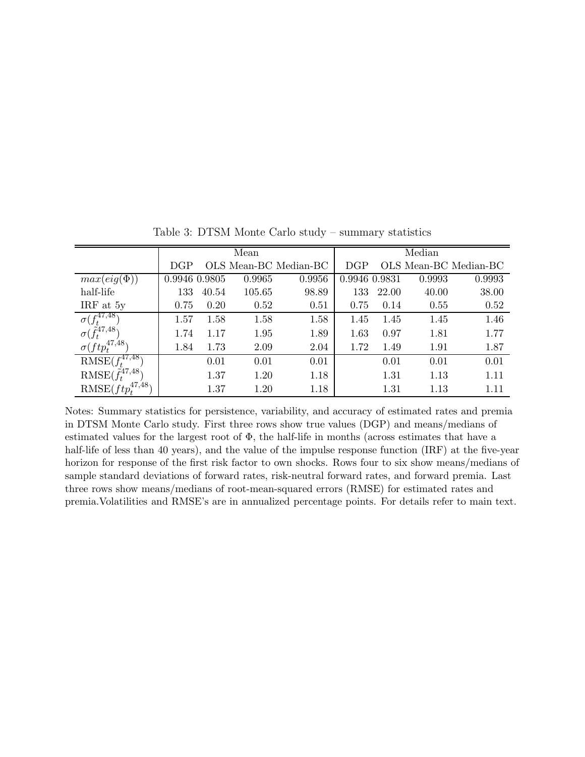|                                    | Mean          |       |        |                       |               | Median |        |                       |  |
|------------------------------------|---------------|-------|--------|-----------------------|---------------|--------|--------|-----------------------|--|
|                                    | DGP           |       |        | OLS Mean-BC Median-BC | <b>DGP</b>    |        |        | OLS Mean-BC Median-BC |  |
| $max(eig(\Phi))$                   | 0.9946 0.9805 |       | 0.9965 | 0.9956                | 0.9946 0.9831 |        | 0.9993 | 0.9993                |  |
| half-life                          | 133           | 40.54 | 105.65 | 98.89                 | 133           | 22.00  | 40.00  | 38.00                 |  |
| IRF at 5y                          | 0.75          | 0.20  | 0.52   | 0.51                  | 0.75          | 0.14   | 0.55   | 0.52                  |  |
| $\sigma(f^{47,48}_t)$              | 1.57          | 1.58  | 1.58   | 1.58                  | 1.45          | 1.45   | 1.45   | 1.46                  |  |
| $\sigma(\tilde{f}_t^{47,48})$      | 1.74          | 1.17  | 1.95   | 1.89                  | 1.63          | 0.97   | 1.81   | 1.77                  |  |
| $\sigma(ftp_t^{47,48})$            | 1.84          | 1.73  | 2.09   | 2.04                  | 1.72          | 1.49   | 1.91   | 1.87                  |  |
| RMSE $(f^{47,48}_{t})$             |               | 0.01  | 0.01   | 0.01                  |               | 0.01   | 0.01   | 0.01                  |  |
| $\text{RMSE}(\tilde{f}_t^{47,48})$ |               | 1.37  | 1.20   | 1.18                  |               | 1.31   | 1.13   | 1.11                  |  |
| 47,48<br>$RMSE(ftp_t^4)$           |               | 1.37  | 1.20   | 1.18                  |               | 1.31   | 1.13   | 1.11                  |  |

Table 3: DTSM Monte Carlo study – summary statistics

Notes: Summary statistics for persistence, variability, and accuracy of estimated rates and premia in DTSM Monte Carlo study. First three rows show true values (DGP) and means/medians of estimated values for the largest root of  $\Phi$ , the half-life in months (across estimates that have a half-life of less than 40 years), and the value of the impulse response function (IRF) at the five-year horizon for response of the first risk factor to own shocks. Rows four to six show means/medians of sample standard deviations of forward rates, risk-neutral forward rates, and forward premia. Last three rows show means/medians of root-mean-squared errors (RMSE) for estimated rates and premia.Volatilities and RMSE's are in annualized percentage points. For details refer to main text.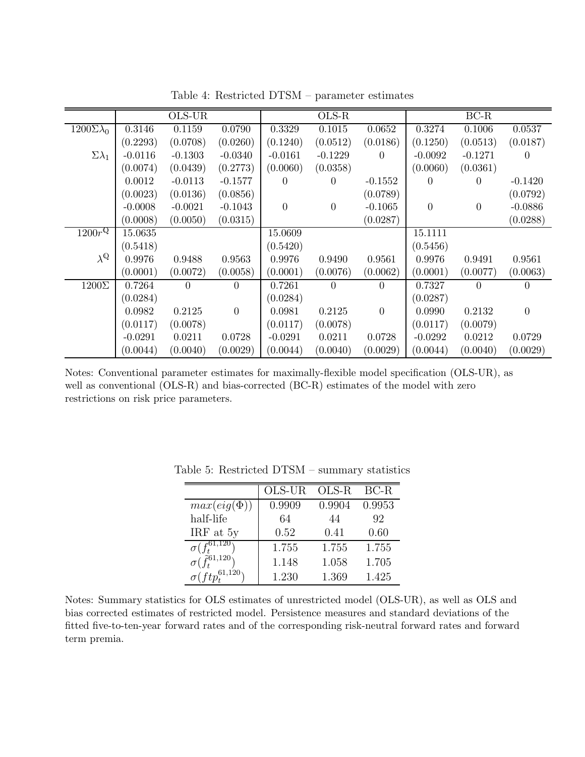|                        |           | $OLS-UR$  |                |                | $OLS-R$          |                |           | $BC-R$           |                  |
|------------------------|-----------|-----------|----------------|----------------|------------------|----------------|-----------|------------------|------------------|
| $1200\Sigma\lambda_0$  | 0.3146    | 0.1159    | 0.0790         | 0.3329         | 0.1015           | 0.0652         | 0.3274    | 0.1006           | 0.0537           |
|                        | (0.2293)  | (0.0708)  | (0.0260)       | (0.1240)       | (0.0512)         | (0.0186)       | (0.1250)  | (0.0513)         | (0.0187)         |
| $\Sigma\lambda_1$      | $-0.0116$ | $-0.1303$ | $-0.0340$      | $-0.0161$      | $-0.1229$        | $\Omega$       | $-0.0092$ | $-0.1271$        | $\left( \right)$ |
|                        | (0.0074)  | (0.0439)  | (0.2773)       | (0.0060)       | (0.0358)         |                | (0.0060)  | (0.0361)         |                  |
|                        | 0.0012    | $-0.0113$ | $-0.1577$      | $\Omega$       | 0                | $-0.1552$      | 0         | 0                | $-0.1420$        |
|                        | (0.0023)  | (0.0136)  | (0.0856)       |                |                  | (0.0789)       |           |                  | (0.0792)         |
|                        | $-0.0008$ | $-0.0021$ | $-0.1043$      | $\overline{0}$ | $\boldsymbol{0}$ | $-0.1065$      | $\theta$  | $\boldsymbol{0}$ | $-0.0886$        |
|                        | (0.0008)  | (0.0050)  | (0.0315)       |                |                  | (0.0287)       |           |                  | (0.0288)         |
| $1200r^{\mathbb{Q}}$   | 15.0635   |           |                | 15.0609        |                  |                | 15.1111   |                  |                  |
|                        | (0.5418)  |           |                | (0.5420)       |                  |                | (0.5456)  |                  |                  |
| $\lambda^{\mathbb{Q}}$ | 0.9976    | 0.9488    | 0.9563         | 0.9976         | 0.9490           | 0.9561         | 0.9976    | 0.9491           | 0.9561           |
|                        | (0.0001)  | (0.0072)  | (0.0058)       | (0.0001)       | (0.0076)         | (0.0062)       | (0.0001)  | (0.0077)         | (0.0063)         |
| $1200\Sigma$           | 0.7264    | 0         | $\overline{0}$ | 0.7261         | 0                | $\theta$       | 0.7327    | 0                | $\theta$         |
|                        | (0.0284)  |           |                | (0.0284)       |                  |                | (0.0287)  |                  |                  |
|                        | 0.0982    | 0.2125    | $\overline{0}$ | 0.0981         | 0.2125           | $\overline{0}$ | 0.0990    | 0.2132           | $\theta$         |
|                        | (0.0117)  | (0.0078)  |                | (0.0117)       | (0.0078)         |                | (0.0117)  | (0.0079)         |                  |
|                        | $-0.0291$ | 0.0211    | 0.0728         | $-0.0291$      | 0.0211           | 0.0728         | $-0.0292$ | 0.0212           | 0.0729           |
|                        | (0.0044)  | (0.0040)  | (0.0029)       | (0.0044)       | (0.0040)         | (0.0029)       | (0.0044)  | (0.0040)         | (0.0029)         |

Table 4: Restricted DTSM – parameter estimates

Notes: Conventional parameter estimates for maximally-flexible model specification (OLS-UR), as well as conventional (OLS-R) and bias-corrected (BC-R) estimates of the model with zero restrictions on risk price parameters.

|                                    | OLS-UR | $OLS-R$ | BC-R   |
|------------------------------------|--------|---------|--------|
| $max(eig(\Phi))$                   | 0.9909 | 0.9904  | 0.9953 |
| half-life                          | 64     | 44      | 92     |
| IRF at 5y                          | 0.52   | 0.41    | 0.60   |
| $\sigma(f_t^{61,120})$             | 1.755  | 1.755   | 1.755  |
| $\sigma(\tilde{f}_{\tau}^{61,120}$ | 1.148  | 1.058   | 1.705  |
|                                    | 1.230  | 1.369   | 1.425  |

Table 5: Restricted DTSM – summary statistics

Notes: Summary statistics for OLS estimates of unrestricted model (OLS-UR), as well as OLS and bias corrected estimates of restricted model. Persistence measures and standard deviations of the fitted five-to-ten-year forward rates and of the corresponding risk-neutral forward rates and forward term premia.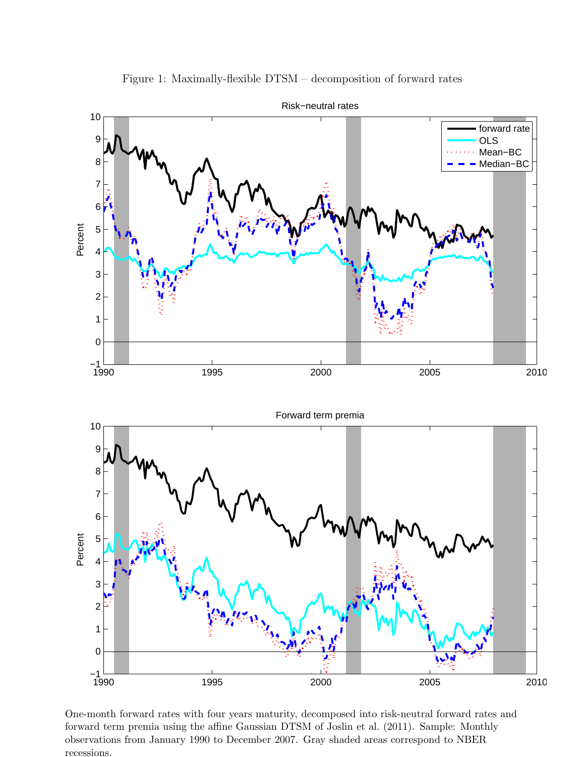

Figure 1: Maximally-flexible DTSM – decomposition of forward rates

One-month forward rates with four years maturity, decomposed into risk-neutral forward rates and forward term premia using the affine Gaussian DTSM of Joslin et al. (2011). Sample: Monthly observations from January 1990 to December 2007. Gray shaded areas correspond to NBER recessions.